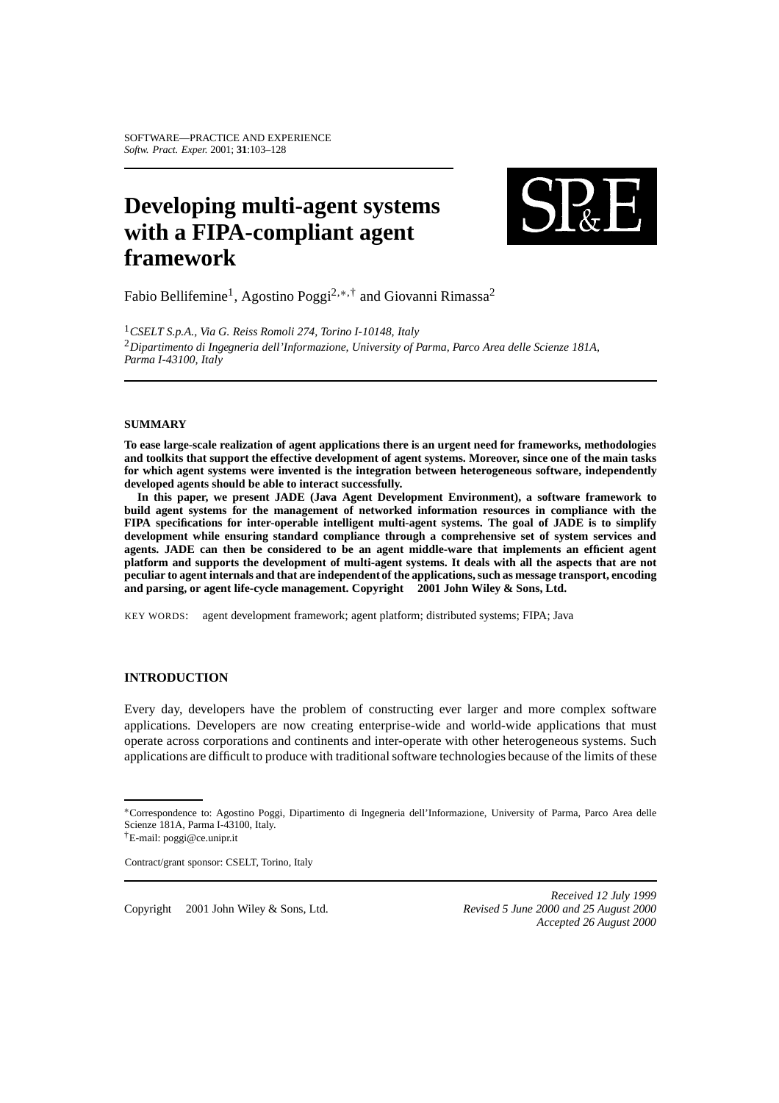# **Developing multi-agent systems with a FIPA-compliant agent framework**



Fabio Bellifemine1, Agostino Poggi2,<sup>∗</sup>,† and Giovanni Rimassa<sup>2</sup>

<sup>1</sup>*CSELT S.p.A., Via G. Reiss Romoli 274, Torino I-10148, Italy* <sup>2</sup>*Dipartimento di Ingegneria dell'Informazione, University of Parma, Parco Area delle Scienze 181A, Parma I-43100, Italy*

### **SUMMARY**

**To ease large-scale realization of agent applications there is an urgent need for frameworks, methodologies and toolkits that support the effective development of agent systems. Moreover, since one of the main tasks for which agent systems were invented is the integration between heterogeneous software, independently developed agents should be able to interact successfully.**

**In this paper, we present JADE (Java Agent Development Environment), a software framework to build agent systems for the management of networked information resources in compliance with the FIPA specifications for inter-operable intelligent multi-agent systems. The goal of JADE is to simplify development while ensuring standard compliance through a comprehensive set of system services and agents. JADE can then be considered to be an agent middle-ware that implements an efficient agent platform and supports the development of multi-agent systems. It deals with all the aspects that are not peculiar to agent internals and that are independent of the applications, such as message transport, encoding and parsing, or agent life-cycle management. Copyright 2001 John Wiley & Sons, Ltd.**

KEY WORDS: agent development framework; agent platform; distributed systems; FIPA; Java

# **INTRODUCTION**

Every day, developers have the problem of constructing ever larger and more complex software applications. Developers are now creating enterprise-wide and world-wide applications that must operate across corporations and continents and inter-operate with other heterogeneous systems. Such applications are difficult to produce with traditional software technologies because of the limits of these

Copyright  $\odot$  2001 John Wiley & Sons, Ltd.

*Received 12 July 1999 Revised 5 June 2000 and 25 August 2000 Accepted 26 August 2000*

<sup>∗</sup>Correspondence to: Agostino Poggi, Dipartimento di Ingegneria dell'Informazione, University of Parma, Parco Area delle Scienze 181A, Parma I-43100, Italy.

<sup>†</sup>E-mail: poggi@ce.unipr.it

Contract/grant sponsor: CSELT, Torino, Italy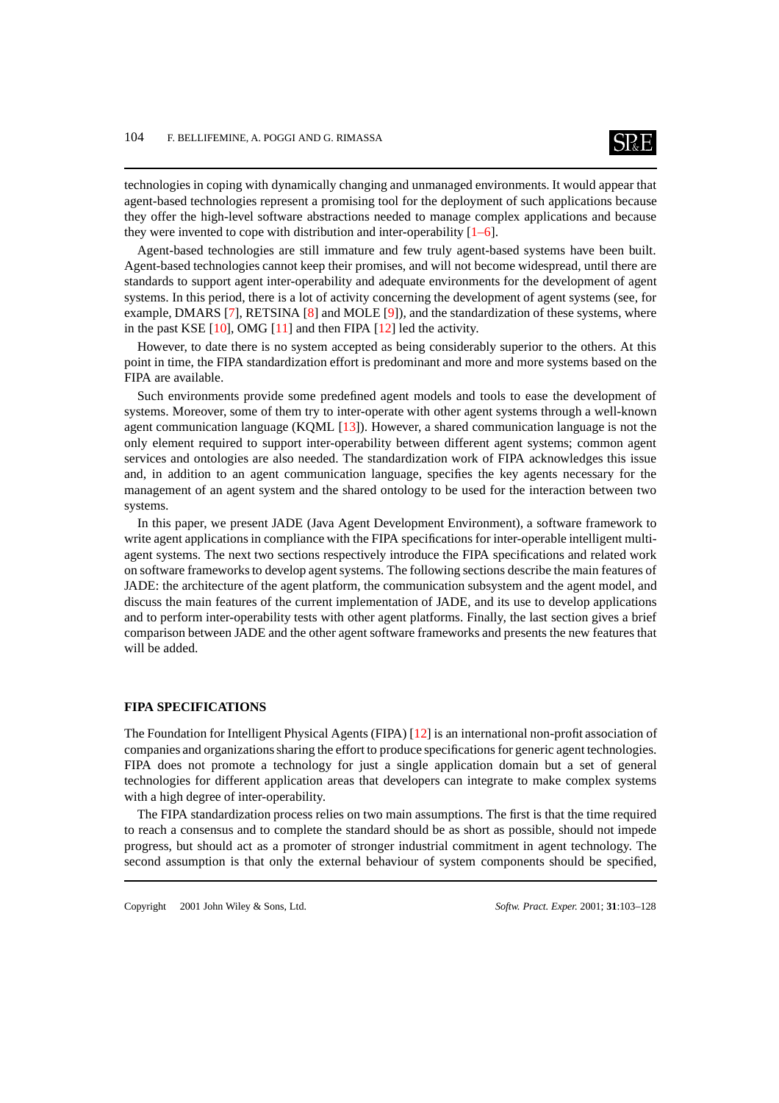

technologies in coping with dynamically changing and unmanaged environments. It would appear that agent-based technologies represent a promising tool for the deployment of such applications because they offer the high-level software abstractions needed to manage complex applications and because they were invented to cope with distribution and inter-operability [[1–6\]](#page-24-2).

Agent-based technologies are still immature and few truly agent-based systems have been built. Agent-based technologies cannot keep their promises, and will not become widespread, until there are standards to support agent inter-operability and adequate environments for the development of agent systems. In this period, there is a lot of activity concerning the development of agent systems (see, for example, DMARS [\[7\]](#page-24-6), RETSINA [[8](#page-24-5)] and MOLE [\[9](#page-24-3)]), and the standardization of these systems, where in the past KSE  $[10]$ , OMG  $[11]$  $[11]$  and then FIPA  $[12]$  $[12]$  led the activity.

However, to date there is no system accepted as being considerably superior to the others. At this point in time, the FIPA standardization effort is predominant and more and more systems based on the FIPA are available.

Such environments provide some predefined agent models and tools to ease the development of systems. Moreover, some of them try to inter-operate with other agent systems through a well-known agent communication language (KQML  $[13]$  $[13]$ ). However, a shared communication language is not the only element required to support inter-operability between different agent systems; common agent services and ontologies are also needed. The standardization work of FIPA acknowledges this issue and, in addition to an agent communication language, specifies the key agents necessary for the management of an agent system and the shared ontology to be used for the interaction between two systems.

In this paper, we present JADE (Java Agent Development Environment), a software framework to write agent applications in compliance with the FIPA specifications for inter-operable intelligent multiagent systems. The next two sections respectively introduce the FIPA specifications and related work on software frameworks to develop agent systems. The following sections describe the main features of JADE: the architecture of the agent platform, the communication subsystem and the agent model, and discuss the main features of the current implementation of JADE, and its use to develop applications and to perform inter-operability tests with other agent platforms. Finally, the last section gives a brief comparison between JADE and the other agent software frameworks and presents the new features that will be added.

#### **FIPA SPECIFICATIONS**

The Foundation for Intelligent Physical Agents (FIPA) [\[12](#page-24-0)] is an international non-profit association of companies and organizations sharing the effort to produce specifications for generic agent technologies. FIPA does not promote a technology for just a single application domain but a set of general technologies for different application areas that developers can integrate to make complex systems with a high degree of inter-operability.

The FIPA standardization process relies on two main assumptions. The first is that the time required to reach a consensus and to complete the standard should be as short as possible, should not impede progress, but should act as a promoter of stronger industrial commitment in agent technology. The second assumption is that only the external behaviour of system components should be specified,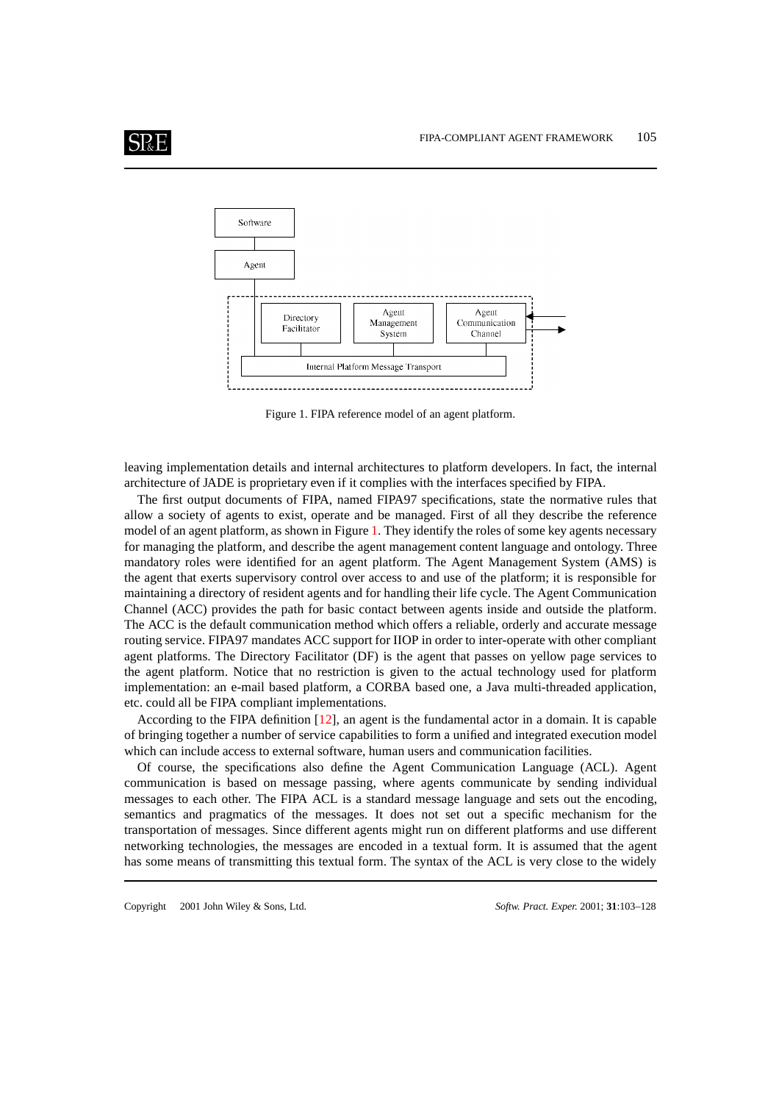

<span id="page-2-0"></span>

Figure 1. FIPA reference model of an agent platform.

leaving implementation details and internal architectures to platform developers. In fact, the internal architecture of JADE is proprietary even if it complies with the interfaces specified by FIPA.

The first output documents of FIPA, named FIPA97 specifications, state the normative rules that allow a society of agents to exist, operate and be managed. First of all they describe the reference model of an agent platform, as shown in Figure [1.](#page-2-0) They identify the roles of some key agents necessary for managing the platform, and describe the agent management content language and ontology. Three mandatory roles were identified for an agent platform. The Agent Management System (AMS) is the agent that exerts supervisory control over access to and use of the platform; it is responsible for maintaining a directory of resident agents and for handling their life cycle. The Agent Communication Channel (ACC) provides the path for basic contact between agents inside and outside the platform. The ACC is the default communication method which offers a reliable, orderly and accurate message routing service. FIPA97 mandates ACC support for IIOP in order to inter-operate with other compliant agent platforms. The Directory Facilitator (DF) is the agent that passes on yellow page services to the agent platform. Notice that no restriction is given to the actual technology used for platform implementation: an e-mail based platform, a CORBA based one, a Java multi-threaded application, etc. could all be FIPA compliant implementations.

According to the FIPA definition [\[12\]](#page-24-0), an agent is the fundamental actor in a domain. It is capable of bringing together a number of service capabilities to form a unified and integrated execution model which can include access to external software, human users and communication facilities.

Of course, the specifications also define the Agent Communication Language (ACL). Agent communication is based on message passing, where agents communicate by sending individual messages to each other. The FIPA ACL is a standard message language and sets out the encoding, semantics and pragmatics of the messages. It does not set out a specific mechanism for the transportation of messages. Since different agents might run on different platforms and use different networking technologies, the messages are encoded in a textual form. It is assumed that the agent has some means of transmitting this textual form. The syntax of the ACL is very close to the widely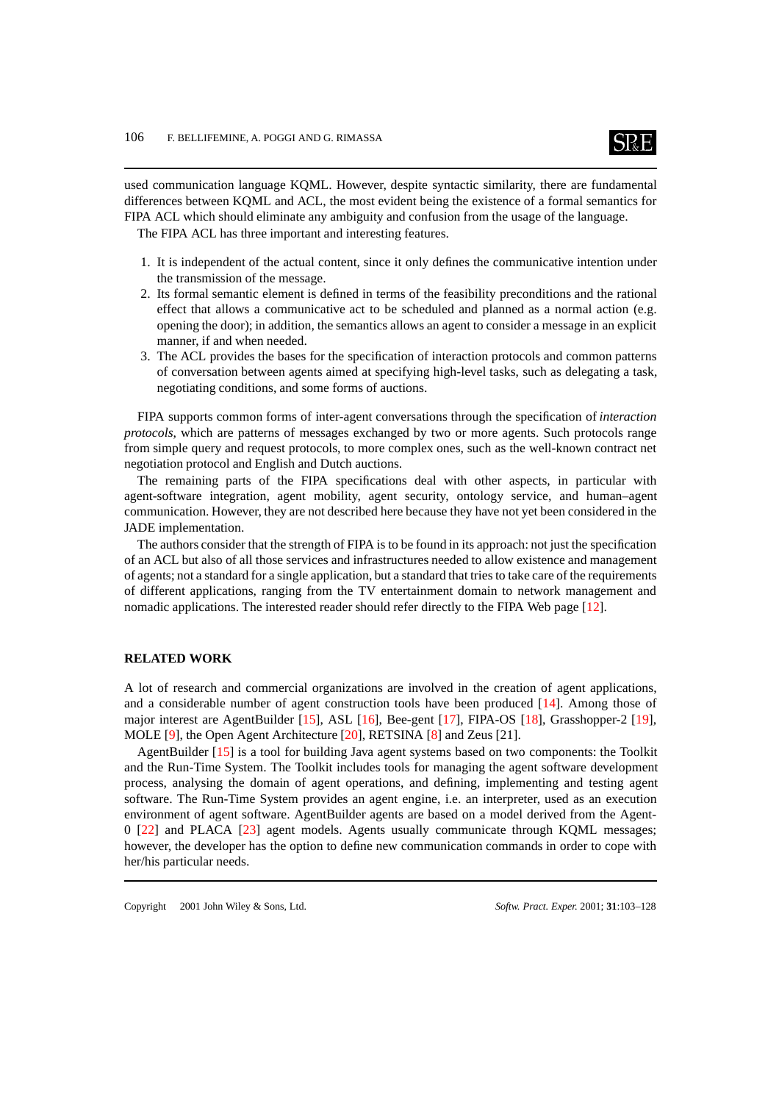

used communication language KQML. However, despite syntactic similarity, there are fundamental differences between KQML and ACL, the most evident being the existence of a formal semantics for FIPA ACL which should eliminate any ambiguity and confusion from the usage of the language.

The FIPA ACL has three important and interesting features.

- 1. It is independent of the actual content, since it only defines the communicative intention under the transmission of the message.
- 2. Its formal semantic element is defined in terms of the feasibility preconditions and the rational effect that allows a communicative act to be scheduled and planned as a normal action (e.g. opening the door); in addition, the semantics allows an agent to consider a message in an explicit manner, if and when needed.
- 3. The ACL provides the bases for the specification of interaction protocols and common patterns of conversation between agents aimed at specifying high-level tasks, such as delegating a task, negotiating conditions, and some forms of auctions.

FIPA supports common forms of inter-agent conversations through the specification of *interaction protocols*, which are patterns of messages exchanged by two or more agents. Such protocols range from simple query and request protocols, to more complex ones, such as the well-known contract net negotiation protocol and English and Dutch auctions.

The remaining parts of the FIPA specifications deal with other aspects, in particular with agent-software integration, agent mobility, agent security, ontology service, and human–agent communication. However, they are not described here because they have not yet been considered in the JADE implementation.

The authors consider that the strength of FIPA is to be found in its approach: not just the specification of an ACL but also of all those services and infrastructures needed to allow existence and management of agents; not a standard for a single application, but a standard that tries to take care of the requirements of different applications, ranging from the TV entertainment domain to network management and nomadic applications. The interested reader should refer directly to the FIPA Web page [[12\]](#page-24-0).

# **RELATED WORK**

A lot of research and commercial organizations are involved in the creation of agent applications, and a considerable number of agent construction tools have been produced [\[14\]](#page-24-16). Among those of major interest are AgentBuilder [\[15](#page-24-8)], ASL [\[16](#page-24-14)], Bee-gent [\[17](#page-24-12)], FIPA-OS [\[18](#page-24-15)], Grasshopper-2 [[19\]](#page-24-13), MOLE [[9\]](#page-24-3), the Open Agent Architecture [\[20](#page-24-10)], RETSINA [\[8](#page-24-5)] and Zeus [21].

AgentBuilder [\[15\]](#page-24-8) is a tool for building Java agent systems based on two components: the Toolkit and the Run-Time System. The Toolkit includes tools for managing the agent software development process, analysing the domain of agent operations, and defining, implementing and testing agent software. The Run-Time System provides an agent engine, i.e. an interpreter, used as an execution environment of agent software. AgentBuilder agents are based on a model derived from the Agent-0 [[22\]](#page-24-9) and PLACA [[23\]](#page-24-11) agent models. Agents usually communicate through KQML messages; however, the developer has the option to define new communication commands in order to cope with her/his particular needs.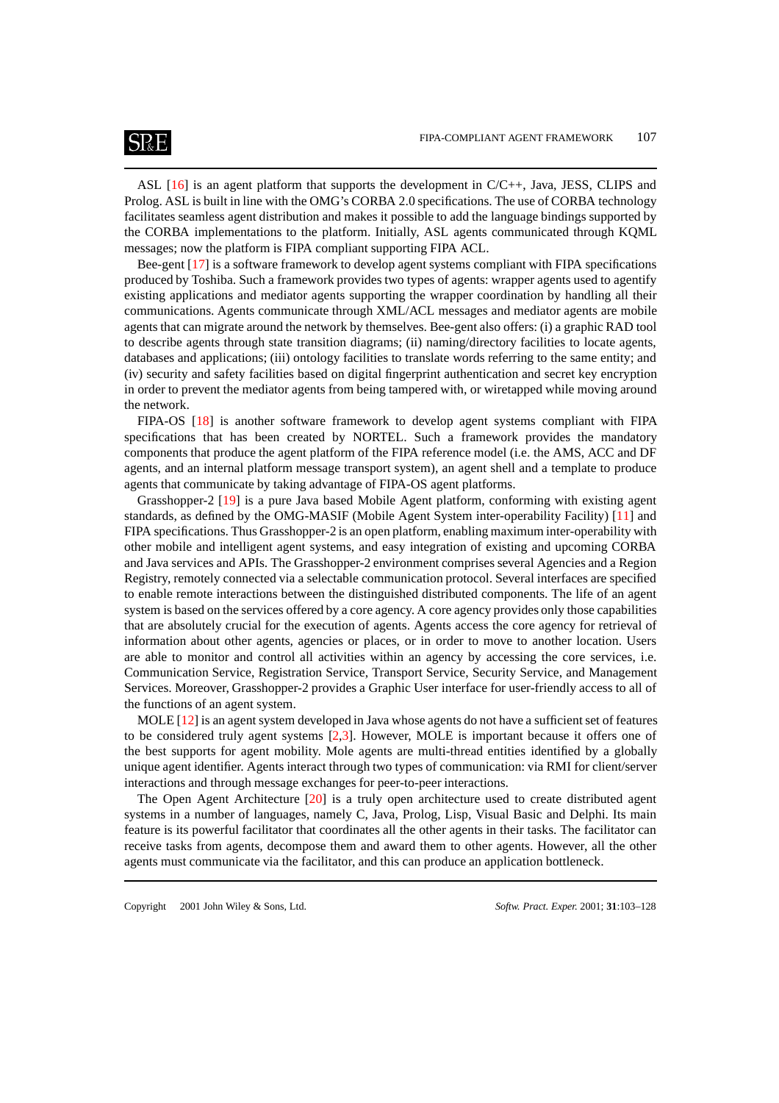# $S_{\rm R}E$

ASL [[16\]](#page-24-14) is an agent platform that supports the development in C/C++, Java, JESS, CLIPS and Prolog. ASL is built in line with the OMG's CORBA 2.0 specifications. The use of CORBA technology facilitates seamless agent distribution and makes it possible to add the language bindings supported by the CORBA implementations to the platform. Initially, ASL agents communicated through KQML messages; now the platform is FIPA compliant supporting FIPA ACL.

Bee-gent [\[17\]](#page-24-12) is a software framework to develop agent systems compliant with FIPA specifications produced by Toshiba. Such a framework provides two types of agents: wrapper agents used to agentify existing applications and mediator agents supporting the wrapper coordination by handling all their communications. Agents communicate through XML/ACL messages and mediator agents are mobile agents that can migrate around the network by themselves. Bee-gent also offers: (i) a graphic RAD tool to describe agents through state transition diagrams; (ii) naming/directory facilities to locate agents, databases and applications; (iii) ontology facilities to translate words referring to the same entity; and (iv) security and safety facilities based on digital fingerprint authentication and secret key encryption in order to prevent the mediator agents from being tampered with, or wiretapped while moving around the network.

FIPA-OS [[18\]](#page-24-15) is another software framework to develop agent systems compliant with FIPA specifications that has been created by NORTEL. Such a framework provides the mandatory components that produce the agent platform of the FIPA reference model (i.e. the AMS, ACC and DF agents, and an internal platform message transport system), an agent shell and a template to produce agents that communicate by taking advantage of FIPA-OS agent platforms.

Grasshopper-2 [\[19](#page-24-13)] is a pure Java based Mobile Agent platform, conforming with existing agent standards, as defined by the OMG-MASIF (Mobile Agent System inter-operability Facility) [[11\]](#page-24-4) and FIPA specifications. Thus Grasshopper-2 is an open platform, enabling maximum inter-operability with other mobile and intelligent agent systems, and easy integration of existing and upcoming CORBA and Java services and APIs. The Grasshopper-2 environment comprises several Agencies and a Region Registry, remotely connected via a selectable communication protocol. Several interfaces are specified to enable remote interactions between the distinguished distributed components. The life of an agent system is based on the services offered by a core agency. A core agency provides only those capabilities that are absolutely crucial for the execution of agents. Agents access the core agency for retrieval of information about other agents, agencies or places, or in order to move to another location. Users are able to monitor and control all activities within an agency by accessing the core services, i.e. Communication Service, Registration Service, Transport Service, Security Service, and Management Services. Moreover, Grasshopper-2 provides a Graphic User interface for user-friendly access to all of the functions of an agent system.

MOLE [\[12\]](#page-24-0) is an agent system developed in Java whose agents do not have a sufficient set of features to be considered truly agent systems [\[2](#page-24-18)[,3](#page-24-17)]. However, MOLE is important because it offers one of the best supports for agent mobility. Mole agents are multi-thread entities identified by a globally unique agent identifier. Agents interact through two types of communication: via RMI for client/server interactions and through message exchanges for peer-to-peer interactions.

The Open Agent Architecture [\[20](#page-24-10)] is a truly open architecture used to create distributed agent systems in a number of languages, namely C, Java, Prolog, Lisp, Visual Basic and Delphi. Its main feature is its powerful facilitator that coordinates all the other agents in their tasks. The facilitator can receive tasks from agents, decompose them and award them to other agents. However, all the other agents must communicate via the facilitator, and this can produce an application bottleneck.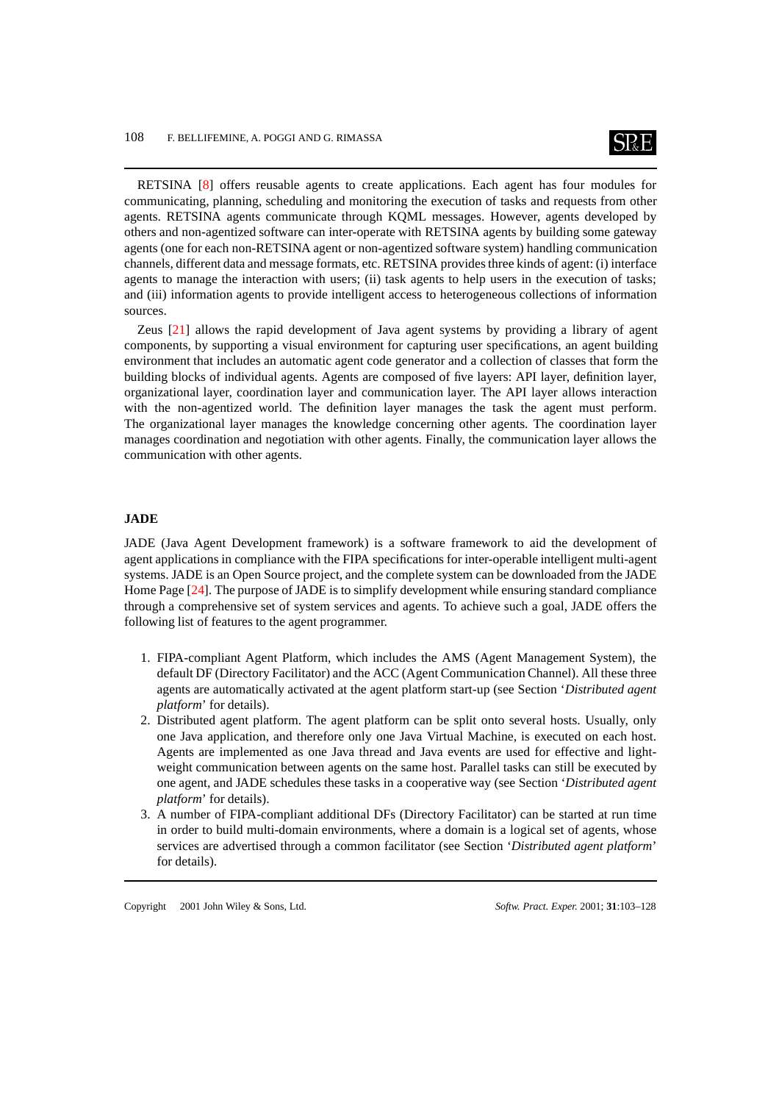

RETSINA [[8\]](#page-24-5) offers reusable agents to create applications. Each agent has four modules for communicating, planning, scheduling and monitoring the execution of tasks and requests from other agents. RETSINA agents communicate through KQML messages. However, agents developed by others and non-agentized software can inter-operate with RETSINA agents by building some gateway agents (one for each non-RETSINA agent or non-agentized software system) handling communication channels, different data and message formats, etc. RETSINA provides three kinds of agent: (i) interface agents to manage the interaction with users; (ii) task agents to help users in the execution of tasks; and (iii) information agents to provide intelligent access to heterogeneous collections of information sources.

Zeus [[21\]](#page-24-20) allows the rapid development of Java agent systems by providing a library of agent components, by supporting a visual environment for capturing user specifications, an agent building environment that includes an automatic agent code generator and a collection of classes that form the building blocks of individual agents. Agents are composed of five layers: API layer, definition layer, organizational layer, coordination layer and communication layer. The API layer allows interaction with the non-agentized world. The definition layer manages the task the agent must perform. The organizational layer manages the knowledge concerning other agents. The coordination layer manages coordination and negotiation with other agents. Finally, the communication layer allows the communication with other agents.

### **JADE**

JADE (Java Agent Development framework) is a software framework to aid the development of agent applications in compliance with the FIPA specifications for inter-operable intelligent multi-agent systems. JADE is an Open Source project, and the complete system can be downloaded from the JADE Home Page [\[24](#page-24-19)]. The purpose of JADE is to simplify development while ensuring standard compliance through a comprehensive set of system services and agents. To achieve such a goal, JADE offers the following list of features to the agent programmer.

- 1. FIPA-compliant Agent Platform, which includes the AMS (Agent Management System), the default DF (Directory Facilitator) and the ACC (Agent Communication Channel). All these three agents are automatically activated at the agent platform start-up (see Section '*Distributed agent platform*' for details).
- 2. Distributed agent platform. The agent platform can be split onto several hosts. Usually, only one Java application, and therefore only one Java Virtual Machine, is executed on each host. Agents are implemented as one Java thread and Java events are used for effective and lightweight communication between agents on the same host. Parallel tasks can still be executed by one agent, and JADE schedules these tasks in a cooperative way (see Section '*Distributed agent platform*' for details).
- 3. A number of FIPA-compliant additional DFs (Directory Facilitator) can be started at run time in order to build multi-domain environments, where a domain is a logical set of agents, whose services are advertised through a common facilitator (see Section '*Distributed agent platform*' for details).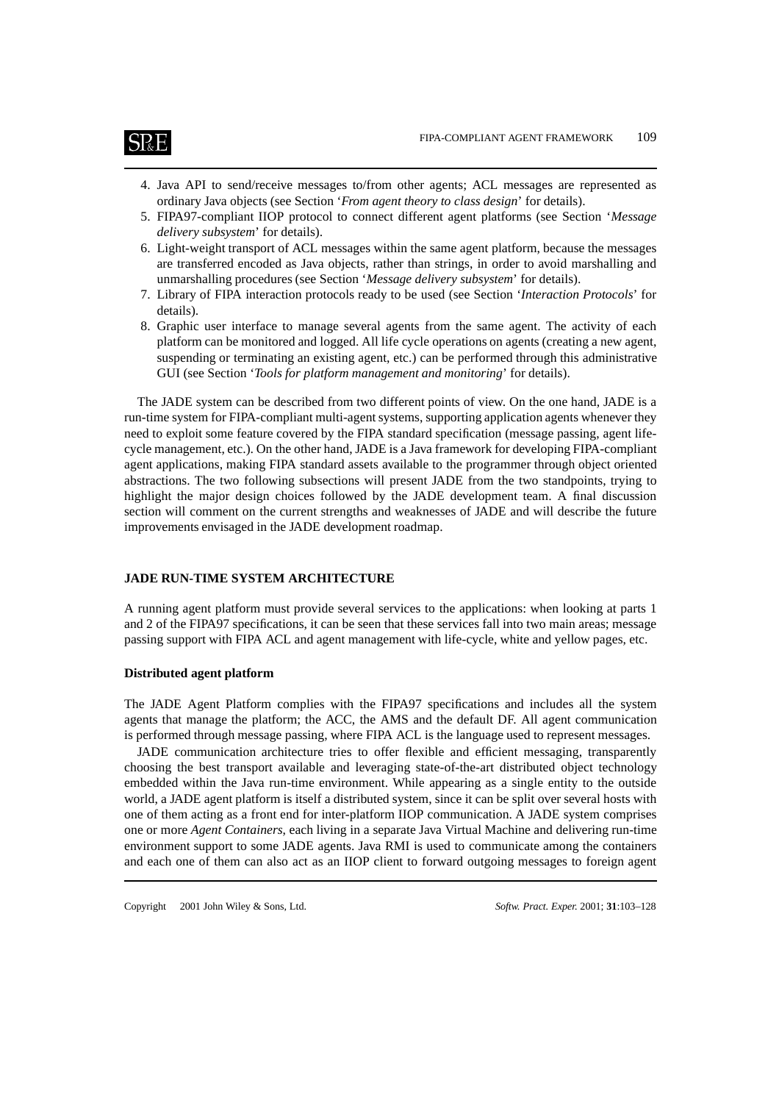- 4. Java API to send/receive messages to/from other agents; ACL messages are represented as ordinary Java objects (see Section '*From agent theory to class design*' for details).
- 5. FIPA97-compliant IIOP protocol to connect different agent platforms (see Section '*Message delivery subsystem*' for details).
- 6. Light-weight transport of ACL messages within the same agent platform, because the messages are transferred encoded as Java objects, rather than strings, in order to avoid marshalling and unmarshalling procedures (see Section '*Message delivery subsystem*' for details).
- 7. Library of FIPA interaction protocols ready to be used (see Section '*Interaction Protocols*' for details).
- 8. Graphic user interface to manage several agents from the same agent. The activity of each platform can be monitored and logged. All life cycle operations on agents (creating a new agent, suspending or terminating an existing agent, etc.) can be performed through this administrative GUI (see Section '*Tools for platform management and monitoring*' for details).

The JADE system can be described from two different points of view. On the one hand, JADE is a run-time system for FIPA-compliant multi-agent systems, supporting application agents whenever they need to exploit some feature covered by the FIPA standard specification (message passing, agent lifecycle management, etc.). On the other hand, JADE is a Java framework for developing FIPA-compliant agent applications, making FIPA standard assets available to the programmer through object oriented abstractions. The two following subsections will present JADE from the two standpoints, trying to highlight the major design choices followed by the JADE development team. A final discussion section will comment on the current strengths and weaknesses of JADE and will describe the future improvements envisaged in the JADE development roadmap.

# **JADE RUN-TIME SYSTEM ARCHITECTURE**

A running agent platform must provide several services to the applications: when looking at parts 1 and 2 of the FIPA97 specifications, it can be seen that these services fall into two main areas; message passing support with FIPA ACL and agent management with life-cycle, white and yellow pages, etc.

### **Distributed agent platform**

The JADE Agent Platform complies with the FIPA97 specifications and includes all the system agents that manage the platform; the ACC, the AMS and the default DF. All agent communication is performed through message passing, where FIPA ACL is the language used to represent messages.

JADE communication architecture tries to offer flexible and efficient messaging, transparently choosing the best transport available and leveraging state-of-the-art distributed object technology embedded within the Java run-time environment. While appearing as a single entity to the outside world, a JADE agent platform is itself a distributed system, since it can be split over several hosts with one of them acting as a front end for inter-platform IIOP communication. A JADE system comprises one or more *Agent Containers*, each living in a separate Java Virtual Machine and delivering run-time environment support to some JADE agents. Java RMI is used to communicate among the containers and each one of them can also act as an IIOP client to forward outgoing messages to foreign agent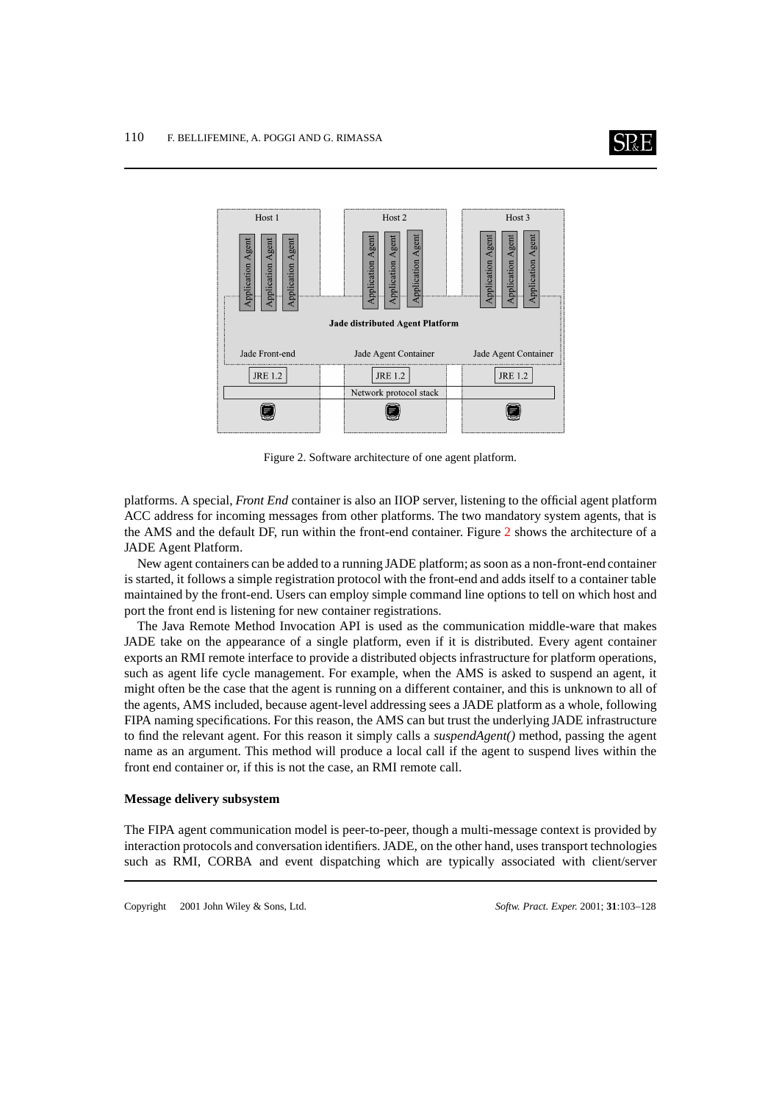

<span id="page-7-0"></span>

Figure 2. Software architecture of one agent platform.

platforms. A special, *Front End* container is also an IIOP server, listening to the official agent platform ACC address for incoming messages from other platforms. The two mandatory system agents, that is the AMS and the default DF, run within the front-end container. Figure [2](#page-7-0) shows the architecture of a JADE Agent Platform.

New agent containers can be added to a running JADE platform; as soon as a non-front-end container is started, it follows a simple registration protocol with the front-end and adds itself to a container table maintained by the front-end. Users can employ simple command line options to tell on which host and port the front end is listening for new container registrations.

The Java Remote Method Invocation API is used as the communication middle-ware that makes JADE take on the appearance of a single platform, even if it is distributed. Every agent container exports an RMI remote interface to provide a distributed objects infrastructure for platform operations, such as agent life cycle management. For example, when the AMS is asked to suspend an agent, it might often be the case that the agent is running on a different container, and this is unknown to all of the agents, AMS included, because agent-level addressing sees a JADE platform as a whole, following FIPA naming specifications. For this reason, the AMS can but trust the underlying JADE infrastructure to find the relevant agent. For this reason it simply calls a *suspendAgent()* method, passing the agent name as an argument. This method will produce a local call if the agent to suspend lives within the front end container or, if this is not the case, an RMI remote call.

#### **Message delivery subsystem**

The FIPA agent communication model is peer-to-peer, though a multi-message context is provided by interaction protocols and conversation identifiers. JADE, on the other hand, uses transport technologies such as RMI, CORBA and event dispatching which are typically associated with client/server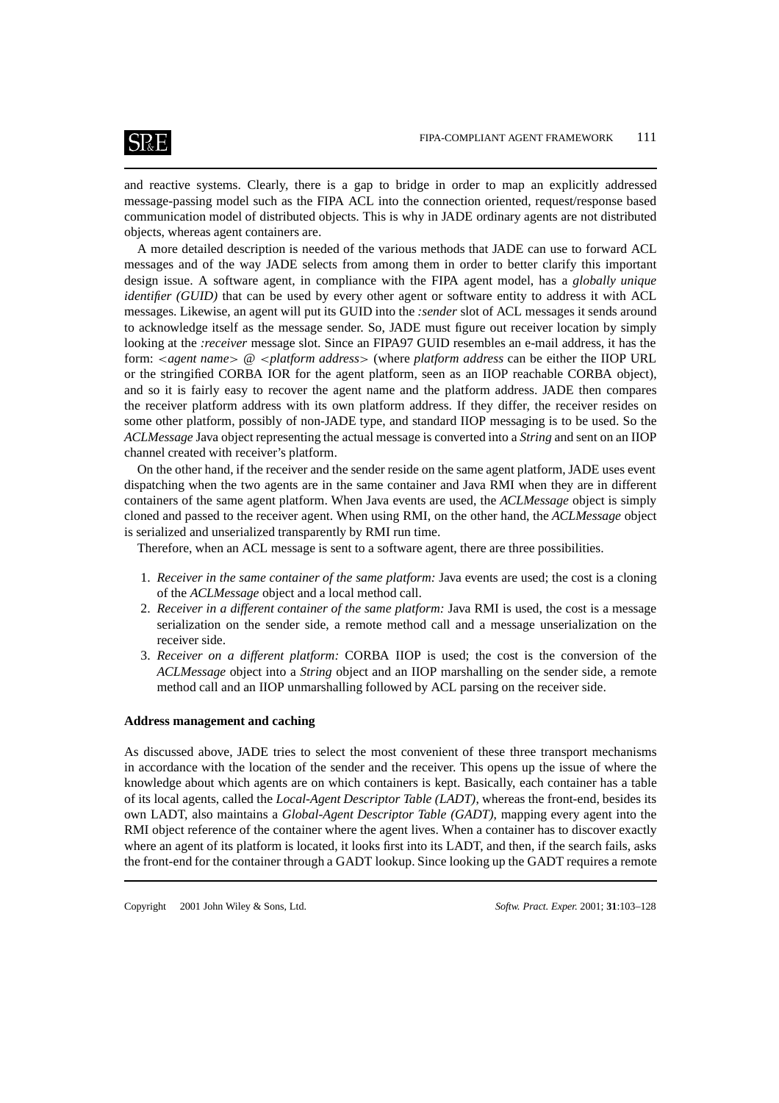# $S_{\rm R}E$

and reactive systems. Clearly, there is a gap to bridge in order to map an explicitly addressed message-passing model such as the FIPA ACL into the connection oriented, request/response based communication model of distributed objects. This is why in JADE ordinary agents are not distributed objects, whereas agent containers are.

A more detailed description is needed of the various methods that JADE can use to forward ACL messages and of the way JADE selects from among them in order to better clarify this important design issue. A software agent, in compliance with the FIPA agent model, has a *globally unique identifier (GUID)* that can be used by every other agent or software entity to address it with ACL messages. Likewise, an agent will put its GUID into the *:sender* slot of ACL messages it sends around to acknowledge itself as the message sender. So, JADE must figure out receiver location by simply looking at the *:receiver* message slot. Since an FIPA97 GUID resembles an e-mail address, it has the form: <*agent name*> *@* <*platform address*> (where *platform address* can be either the IIOP URL or the stringified CORBA IOR for the agent platform, seen as an IIOP reachable CORBA object), and so it is fairly easy to recover the agent name and the platform address. JADE then compares the receiver platform address with its own platform address. If they differ, the receiver resides on some other platform, possibly of non-JADE type, and standard IIOP messaging is to be used. So the *ACLMessage* Java object representing the actual message is converted into a *String* and sent on an IIOP channel created with receiver's platform.

On the other hand, if the receiver and the sender reside on the same agent platform, JADE uses event dispatching when the two agents are in the same container and Java RMI when they are in different containers of the same agent platform. When Java events are used, the *ACLMessage* object is simply cloned and passed to the receiver agent. When using RMI, on the other hand, the *ACLMessage* object is serialized and unserialized transparently by RMI run time.

Therefore, when an ACL message is sent to a software agent, there are three possibilities.

- 1. *Receiver in the same container of the same platform:* Java events are used; the cost is a cloning of the *ACLMessage* object and a local method call.
- 2. *Receiver in a different container of the same platform:* Java RMI is used, the cost is a message serialization on the sender side, a remote method call and a message unserialization on the receiver side.
- 3. *Receiver on a different platform:* CORBA IIOP is used; the cost is the conversion of the *ACLMessage* object into a *String* object and an IIOP marshalling on the sender side, a remote method call and an IIOP unmarshalling followed by ACL parsing on the receiver side.

### **Address management and caching**

As discussed above, JADE tries to select the most convenient of these three transport mechanisms in accordance with the location of the sender and the receiver. This opens up the issue of where the knowledge about which agents are on which containers is kept. Basically, each container has a table of its local agents, called the *Local-Agent Descriptor Table (LADT)*, whereas the front-end, besides its own LADT, also maintains a *Global-Agent Descriptor Table (GADT)*, mapping every agent into the RMI object reference of the container where the agent lives. When a container has to discover exactly where an agent of its platform is located, it looks first into its LADT, and then, if the search fails, asks the front-end for the container through a GADT lookup. Since looking up the GADT requires a remote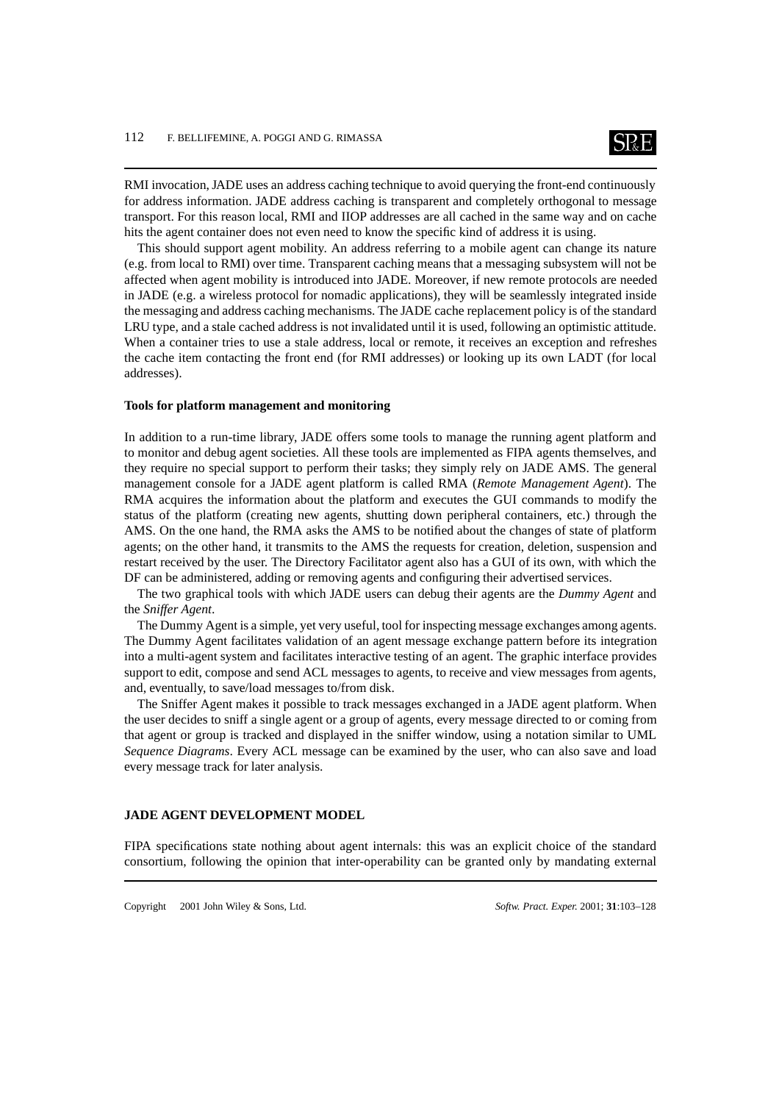

RMI invocation, JADE uses an address caching technique to avoid querying the front-end continuously for address information. JADE address caching is transparent and completely orthogonal to message transport. For this reason local, RMI and IIOP addresses are all cached in the same way and on cache hits the agent container does not even need to know the specific kind of address it is using.

This should support agent mobility. An address referring to a mobile agent can change its nature (e.g. from local to RMI) over time. Transparent caching means that a messaging subsystem will not be affected when agent mobility is introduced into JADE. Moreover, if new remote protocols are needed in JADE (e.g. a wireless protocol for nomadic applications), they will be seamlessly integrated inside the messaging and address caching mechanisms. The JADE cache replacement policy is of the standard LRU type, and a stale cached address is not invalidated until it is used, following an optimistic attitude. When a container tries to use a stale address, local or remote, it receives an exception and refreshes the cache item contacting the front end (for RMI addresses) or looking up its own LADT (for local addresses).

#### **Tools for platform management and monitoring**

In addition to a run-time library, JADE offers some tools to manage the running agent platform and to monitor and debug agent societies. All these tools are implemented as FIPA agents themselves, and they require no special support to perform their tasks; they simply rely on JADE AMS. The general management console for a JADE agent platform is called RMA (*Remote Management Agent*). The RMA acquires the information about the platform and executes the GUI commands to modify the status of the platform (creating new agents, shutting down peripheral containers, etc.) through the AMS. On the one hand, the RMA asks the AMS to be notified about the changes of state of platform agents; on the other hand, it transmits to the AMS the requests for creation, deletion, suspension and restart received by the user. The Directory Facilitator agent also has a GUI of its own, with which the DF can be administered, adding or removing agents and configuring their advertised services.

The two graphical tools with which JADE users can debug their agents are the *Dummy Agent* and the *Sniffer Agent*.

The Dummy Agent is a simple, yet very useful, tool for inspecting message exchanges among agents. The Dummy Agent facilitates validation of an agent message exchange pattern before its integration into a multi-agent system and facilitates interactive testing of an agent. The graphic interface provides support to edit, compose and send ACL messages to agents, to receive and view messages from agents, and, eventually, to save/load messages to/from disk.

The Sniffer Agent makes it possible to track messages exchanged in a JADE agent platform. When the user decides to sniff a single agent or a group of agents, every message directed to or coming from that agent or group is tracked and displayed in the sniffer window, using a notation similar to UML *Sequence Diagrams*. Every ACL message can be examined by the user, who can also save and load every message track for later analysis.

# **JADE AGENT DEVELOPMENT MODEL**

FIPA specifications state nothing about agent internals: this was an explicit choice of the standard consortium, following the opinion that inter-operability can be granted only by mandating external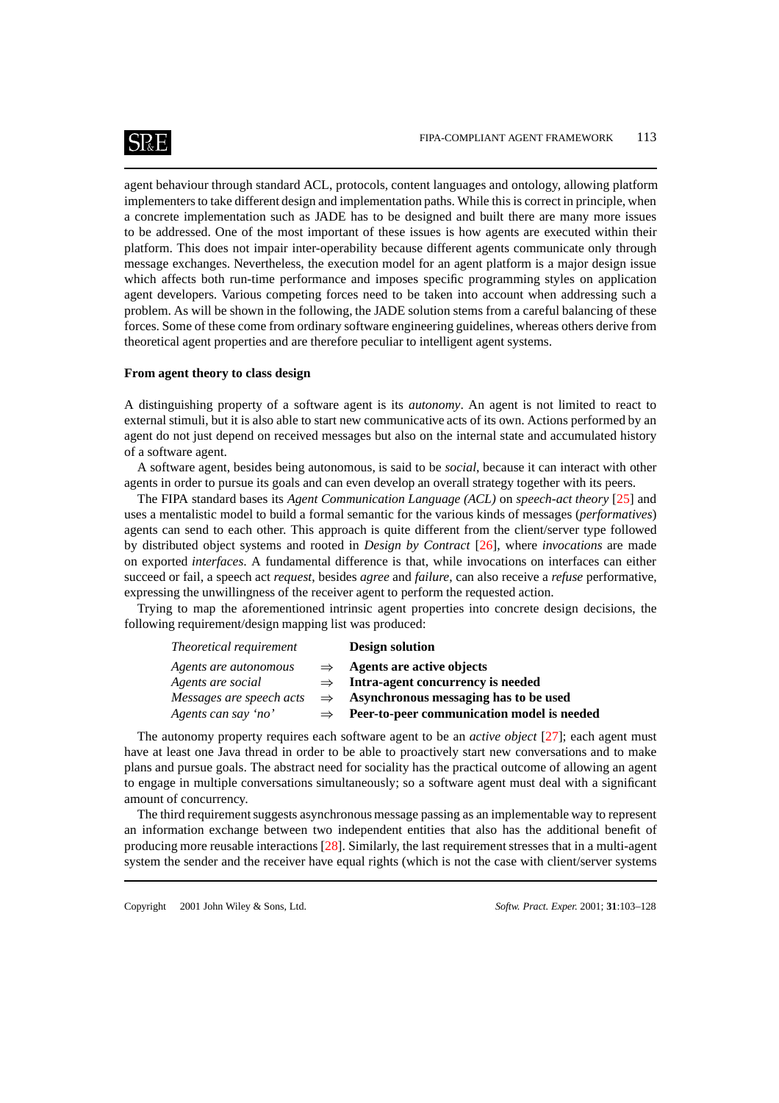

agent behaviour through standard ACL, protocols, content languages and ontology, allowing platform implementers to take different design and implementation paths. While this is correct in principle, when a concrete implementation such as JADE has to be designed and built there are many more issues to be addressed. One of the most important of these issues is how agents are executed within their platform. This does not impair inter-operability because different agents communicate only through message exchanges. Nevertheless, the execution model for an agent platform is a major design issue which affects both run-time performance and imposes specific programming styles on application agent developers. Various competing forces need to be taken into account when addressing such a problem. As will be shown in the following, the JADE solution stems from a careful balancing of these forces. Some of these come from ordinary software engineering guidelines, whereas others derive from theoretical agent properties and are therefore peculiar to intelligent agent systems.

#### **From agent theory to class design**

A distinguishing property of a software agent is its *autonomy*. An agent is not limited to react to external stimuli, but it is also able to start new communicative acts of its own. Actions performed by an agent do not just depend on received messages but also on the internal state and accumulated history of a software agent.

A software agent, besides being autonomous, is said to be *social*, because it can interact with other agents in order to pursue its goals and can even develop an overall strategy together with its peers.

The FIPA standard bases its *Agent Communication Language (ACL)* on *speech-act theory* [[25\]](#page-24-22) and uses a mentalistic model to build a formal semantic for the various kinds of messages (*performatives*) agents can send to each other. This approach is quite different from the client/server type followed by distributed object systems and rooted in *Design by Contract* [\[26](#page-24-24)], where *invocations* are made on exported *interfaces*. A fundamental difference is that, while invocations on interfaces can either succeed or fail, a speech act *request*, besides *agree* and *failure*, can also receive a *refuse* performative, expressing the unwillingness of the receiver agent to perform the requested action.

Trying to map the aforementioned intrinsic agent properties into concrete design decisions, the following requirement/design mapping list was produced:

|               | <b>Design solution</b>                     |
|---------------|--------------------------------------------|
| $\Rightarrow$ | Agents are active objects                  |
| $\Rightarrow$ | Intra-agent concurrency is needed          |
| $\Rightarrow$ | Asynchronous messaging has to be used      |
| $\Rightarrow$ | Peer-to-peer communication model is needed |
|               |                                            |

The autonomy property requires each software agent to be an *active object* [[27\]](#page-24-23); each agent must have at least one Java thread in order to be able to proactively start new conversations and to make plans and pursue goals. The abstract need for sociality has the practical outcome of allowing an agent to engage in multiple conversations simultaneously; so a software agent must deal with a significant amount of concurrency.

The third requirement suggests asynchronous message passing as an implementable way to represent an information exchange between two independent entities that also has the additional benefit of producing more reusable interactions [\[28](#page-24-21)]. Similarly, the last requirement stresses that in a multi-agent system the sender and the receiver have equal rights (which is not the case with client/server systems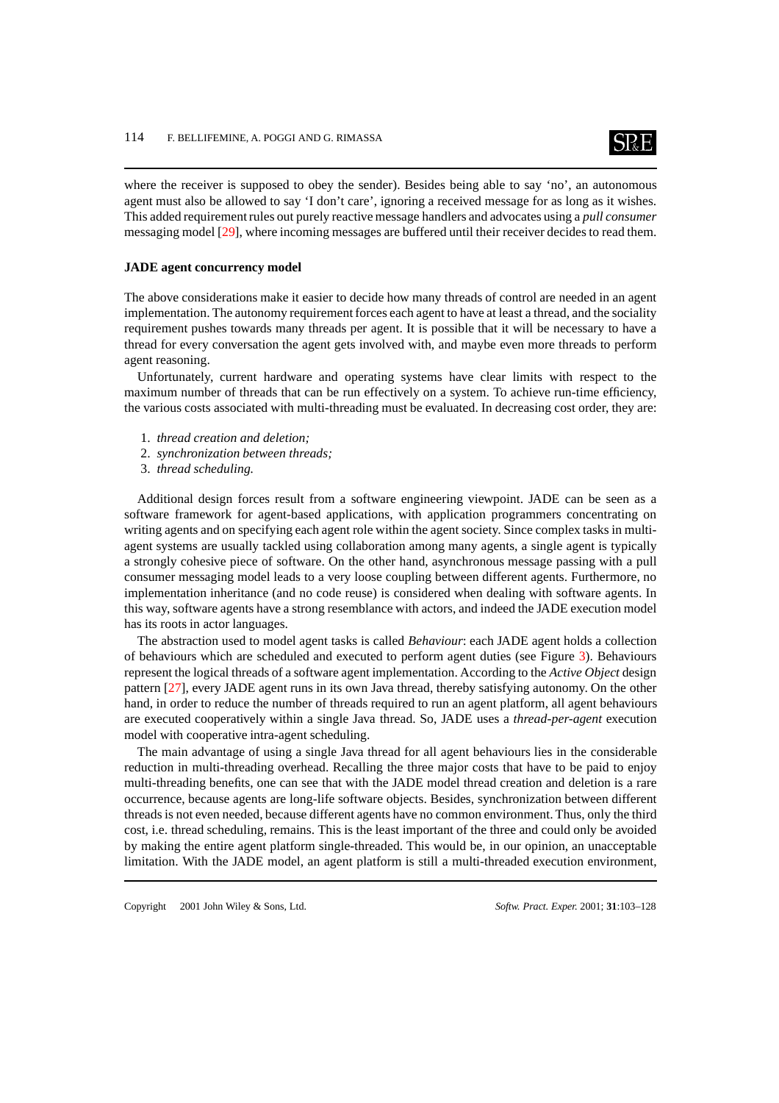

where the receiver is supposed to obey the sender). Besides being able to say 'no', an autonomous agent must also be allowed to say 'I don't care', ignoring a received message for as long as it wishes. This added requirement rules out purely reactive message handlers and advocates using a *pull consumer* messaging model [\[29\]](#page-24-25), where incoming messages are buffered until their receiver decides to read them.

#### **JADE agent concurrency model**

The above considerations make it easier to decide how many threads of control are needed in an agent implementation. The autonomy requirement forces each agent to have at least a thread, and the sociality requirement pushes towards many threads per agent. It is possible that it will be necessary to have a thread for every conversation the agent gets involved with, and maybe even more threads to perform agent reasoning.

Unfortunately, current hardware and operating systems have clear limits with respect to the maximum number of threads that can be run effectively on a system. To achieve run-time efficiency, the various costs associated with multi-threading must be evaluated. In decreasing cost order, they are:

- 1. *thread creation and deletion;*
- 2. *synchronization between threads;*
- 3. *thread scheduling.*

Additional design forces result from a software engineering viewpoint. JADE can be seen as a software framework for agent-based applications, with application programmers concentrating on writing agents and on specifying each agent role within the agent society. Since complex tasks in multiagent systems are usually tackled using collaboration among many agents, a single agent is typically a strongly cohesive piece of software. On the other hand, asynchronous message passing with a pull consumer messaging model leads to a very loose coupling between different agents. Furthermore, no implementation inheritance (and no code reuse) is considered when dealing with software agents. In this way, software agents have a strong resemblance with actors, and indeed the JADE execution model has its roots in actor languages.

The abstraction used to model agent tasks is called *Behaviour*: each JADE agent holds a collection of behaviours which are scheduled and executed to perform agent duties (see Figure [3](#page-12-0)). Behaviours represent the logical threads of a software agent implementation. According to the *Active Object* design pattern [\[27\]](#page-24-23), every JADE agent runs in its own Java thread, thereby satisfying autonomy. On the other hand, in order to reduce the number of threads required to run an agent platform, all agent behaviours are executed cooperatively within a single Java thread. So, JADE uses a *thread-per-agent* execution model with cooperative intra-agent scheduling.

The main advantage of using a single Java thread for all agent behaviours lies in the considerable reduction in multi-threading overhead. Recalling the three major costs that have to be paid to enjoy multi-threading benefits, one can see that with the JADE model thread creation and deletion is a rare occurrence, because agents are long-life software objects. Besides, synchronization between different threads is not even needed, because different agents have no common environment. Thus, only the third cost, i.e. thread scheduling, remains. This is the least important of the three and could only be avoided by making the entire agent platform single-threaded. This would be, in our opinion, an unacceptable limitation. With the JADE model, an agent platform is still a multi-threaded execution environment,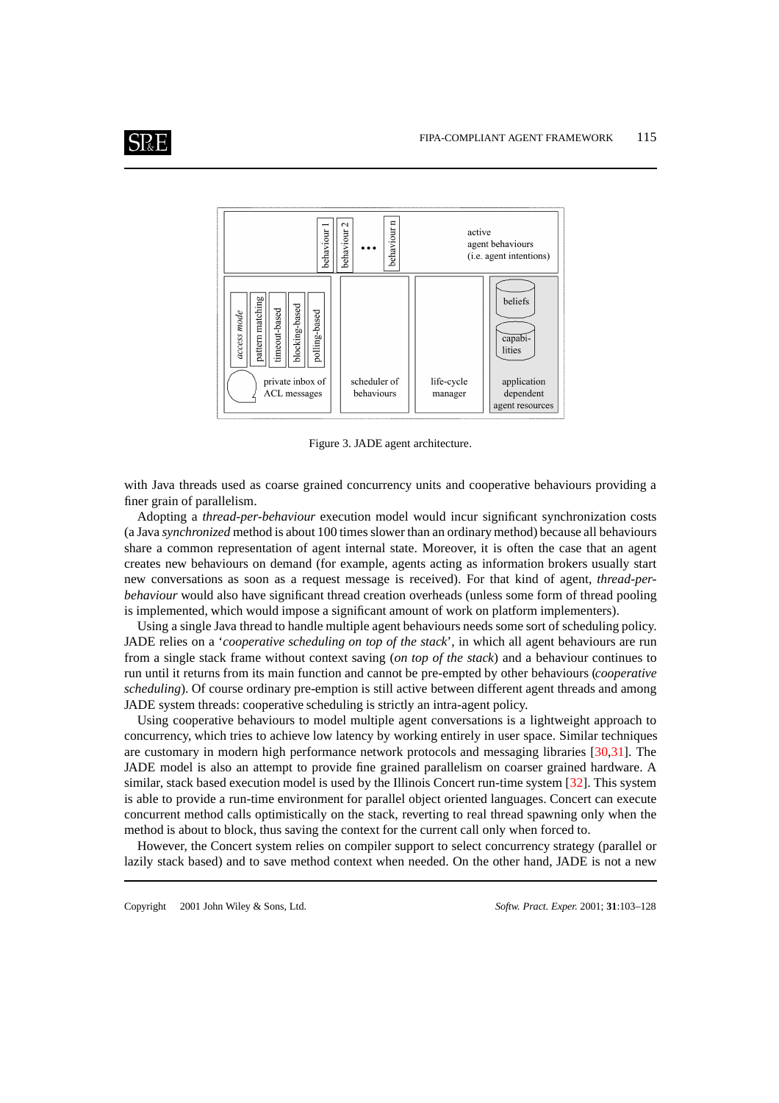<span id="page-12-0"></span>

Figure 3. JADE agent architecture.

with Java threads used as coarse grained concurrency units and cooperative behaviours providing a finer grain of parallelism.

Adopting a *thread-per-behaviour* execution model would incur significant synchronization costs (a Java *synchronized* method is about 100 times slower than an ordinary method) because all behaviours share a common representation of agent internal state. Moreover, it is often the case that an agent creates new behaviours on demand (for example, agents acting as information brokers usually start new conversations as soon as a request message is received). For that kind of agent, *thread-perbehaviour* would also have significant thread creation overheads (unless some form of thread pooling is implemented, which would impose a significant amount of work on platform implementers).

Using a single Java thread to handle multiple agent behaviours needs some sort of scheduling policy. JADE relies on a '*cooperative scheduling on top of the stack*', in which all agent behaviours are run from a single stack frame without context saving (*on top of the stack*) and a behaviour continues to run until it returns from its main function and cannot be pre-empted by other behaviours (*cooperative scheduling*). Of course ordinary pre-emption is still active between different agent threads and among JADE system threads: cooperative scheduling is strictly an intra-agent policy.

Using cooperative behaviours to model multiple agent conversations is a lightweight approach to concurrency, which tries to achieve low latency by working entirely in user space. Similar techniques are customary in modern high performance network protocols and messaging libraries [\[30](#page-24-26),[31\]](#page-24-27). The JADE model is also an attempt to provide fine grained parallelism on coarser grained hardware. A similar, stack based execution model is used by the Illinois Concert run-time system [\[32](#page-24-28)]. This system is able to provide a run-time environment for parallel object oriented languages. Concert can execute concurrent method calls optimistically on the stack, reverting to real thread spawning only when the method is about to block, thus saving the context for the current call only when forced to.

However, the Concert system relies on compiler support to select concurrency strategy (parallel or lazily stack based) and to save method context when needed. On the other hand, JADE is not a new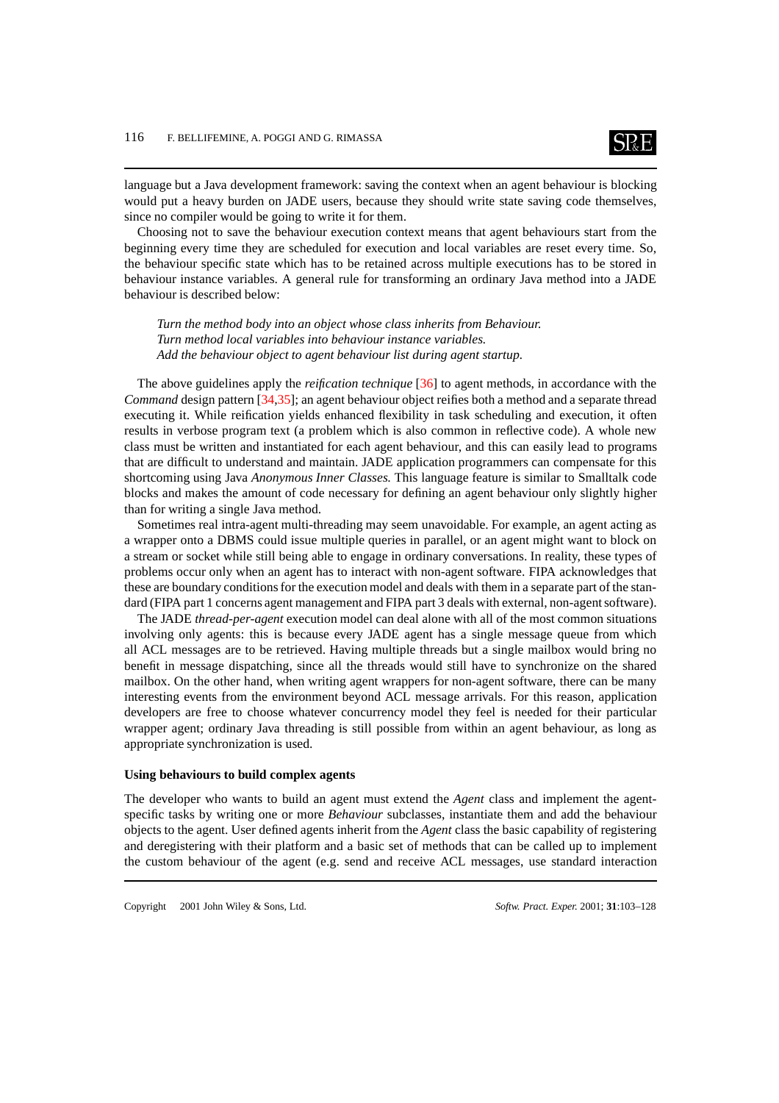language but a Java development framework: saving the context when an agent behaviour is blocking would put a heavy burden on JADE users, because they should write state saving code themselves, since no compiler would be going to write it for them.

Choosing not to save the behaviour execution context means that agent behaviours start from the beginning every time they are scheduled for execution and local variables are reset every time. So, the behaviour specific state which has to be retained across multiple executions has to be stored in behaviour instance variables. A general rule for transforming an ordinary Java method into a JADE behaviour is described below:

*Turn the method body into an object whose class inherits from Behaviour. Turn method local variables into behaviour instance variables. Add the behaviour object to agent behaviour list during agent startup.*

The above guidelines apply the *reification technique* [[36\]](#page-24-31) to agent methods, in accordance with the *Command* design pattern [\[34,](#page-24-29)[35](#page-24-30)]; an agent behaviour object reifies both a method and a separate thread executing it. While reification yields enhanced flexibility in task scheduling and execution, it often results in verbose program text (a problem which is also common in reflective code). A whole new class must be written and instantiated for each agent behaviour, and this can easily lead to programs that are difficult to understand and maintain. JADE application programmers can compensate for this shortcoming using Java *Anonymous Inner Classes*. This language feature is similar to Smalltalk code blocks and makes the amount of code necessary for defining an agent behaviour only slightly higher than for writing a single Java method.

Sometimes real intra-agent multi-threading may seem unavoidable. For example, an agent acting as a wrapper onto a DBMS could issue multiple queries in parallel, or an agent might want to block on a stream or socket while still being able to engage in ordinary conversations. In reality, these types of problems occur only when an agent has to interact with non-agent software. FIPA acknowledges that these are boundary conditions for the execution model and deals with them in a separate part of the standard (FIPA part 1 concerns agent management and FIPA part 3 deals with external, non-agent software).

The JADE *thread-per-agent* execution model can deal alone with all of the most common situations involving only agents: this is because every JADE agent has a single message queue from which all ACL messages are to be retrieved. Having multiple threads but a single mailbox would bring no benefit in message dispatching, since all the threads would still have to synchronize on the shared mailbox. On the other hand, when writing agent wrappers for non-agent software, there can be many interesting events from the environment beyond ACL message arrivals. For this reason, application developers are free to choose whatever concurrency model they feel is needed for their particular wrapper agent; ordinary Java threading is still possible from within an agent behaviour, as long as appropriate synchronization is used.

#### **Using behaviours to build complex agents**

The developer who wants to build an agent must extend the *Agent* class and implement the agentspecific tasks by writing one or more *Behaviour* subclasses, instantiate them and add the behaviour objects to the agent. User defined agents inherit from the *Agent* class the basic capability of registering and deregistering with their platform and a basic set of methods that can be called up to implement the custom behaviour of the agent (e.g. send and receive ACL messages, use standard interaction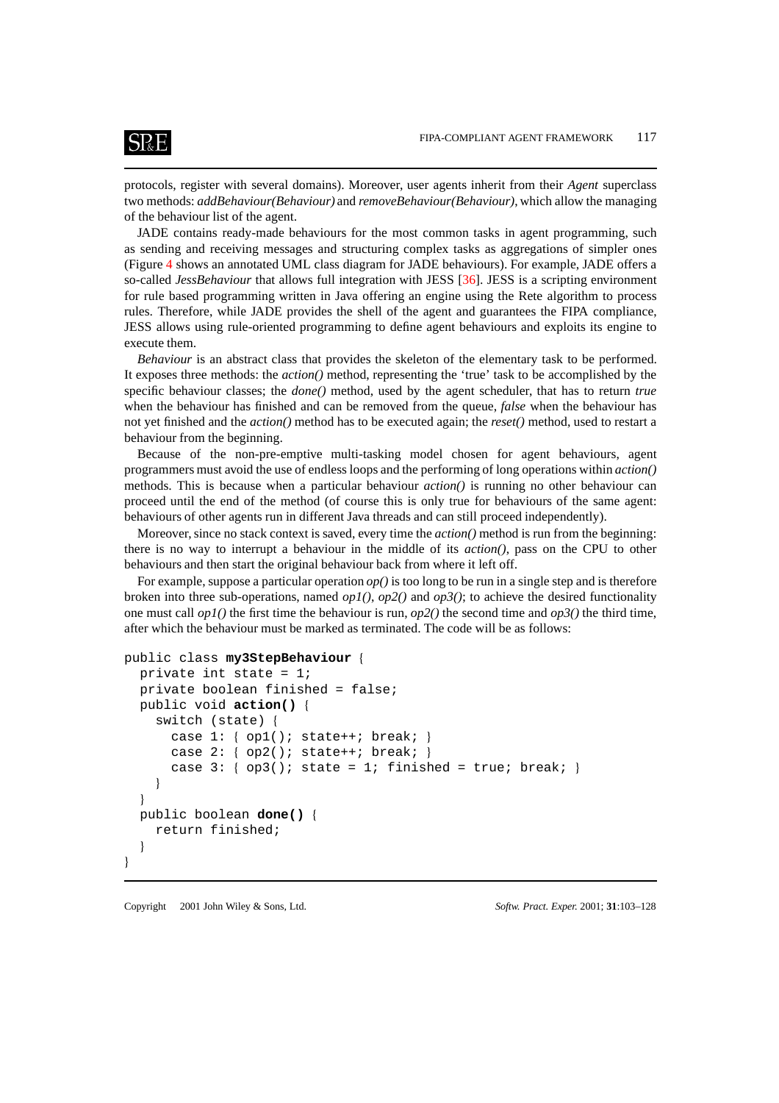# $SRE$

protocols, register with several domains). Moreover, user agents inherit from their *Agent* superclass two methods: *addBehaviour(Behaviour)* and *removeBehaviour(Behaviour)*, which allow the managing of the behaviour list of the agent.

JADE contains ready-made behaviours for the most common tasks in agent programming, such as sending and receiving messages and structuring complex tasks as aggregations of simpler ones (Figure [4](#page-15-0) shows an annotated UML class diagram for JADE behaviours). For example, JADE offers a so-called *JessBehaviour* that allows full integration with JESS [\[36](#page-24-31)]. JESS is a scripting environment for rule based programming written in Java offering an engine using the Rete algorithm to process rules. Therefore, while JADE provides the shell of the agent and guarantees the FIPA compliance, JESS allows using rule-oriented programming to define agent behaviours and exploits its engine to execute them.

*Behaviour* is an abstract class that provides the skeleton of the elementary task to be performed. It exposes three methods: the *action()* method, representing the 'true' task to be accomplished by the specific behaviour classes; the *done()* method, used by the agent scheduler, that has to return *true* when the behaviour has finished and can be removed from the queue, *false* when the behaviour has not yet finished and the *action()* method has to be executed again; the *reset()* method, used to restart a behaviour from the beginning.

Because of the non-pre-emptive multi-tasking model chosen for agent behaviours, agent programmers must avoid the use of endless loops and the performing of long operations within *action()* methods. This is because when a particular behaviour *action()* is running no other behaviour can proceed until the end of the method (of course this is only true for behaviours of the same agent: behaviours of other agents run in different Java threads and can still proceed independently).

Moreover, since no stack context is saved, every time the *action()* method is run from the beginning: there is no way to interrupt a behaviour in the middle of its *action()*, pass on the CPU to other behaviours and then start the original behaviour back from where it left off.

For example, suppose a particular operation *op()* is too long to be run in a single step and is therefore broken into three sub-operations, named *op1()*, *op2()* and *op3()*; to achieve the desired functionality one must call  $op1()$  the first time the behaviour is run,  $op2()$  the second time and  $op3()$  the third time, after which the behaviour must be marked as terminated. The code will be as follows:

```
public class my3StepBehaviour {
 private int state = 1;
 private boolean finished = false;
  public void action() {
    switch (state) {
      case 1: { op1(); state++; break; }
      case 2: \{ op2() : state++: break; \}case 3: { op3(); state = 1; finished = true; break; }
    }
  }
  public boolean done() {
    return finished;
  }
}
```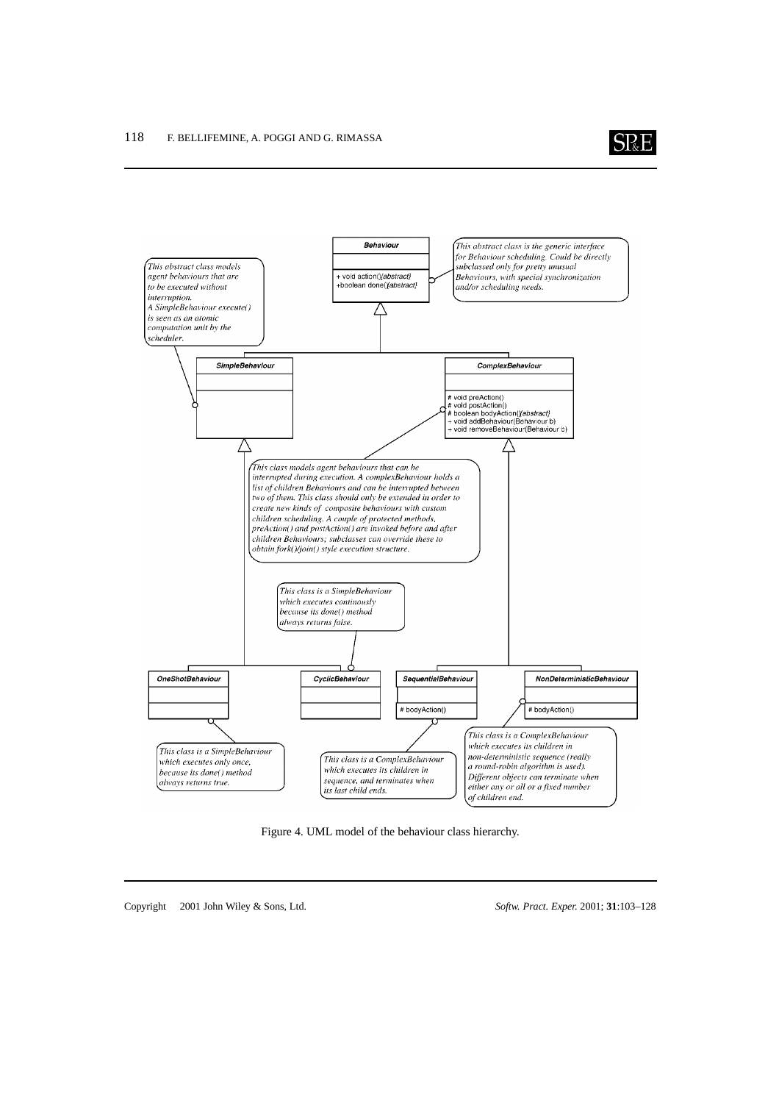

<span id="page-15-0"></span>

Figure 4. UML model of the behaviour class hierarchy.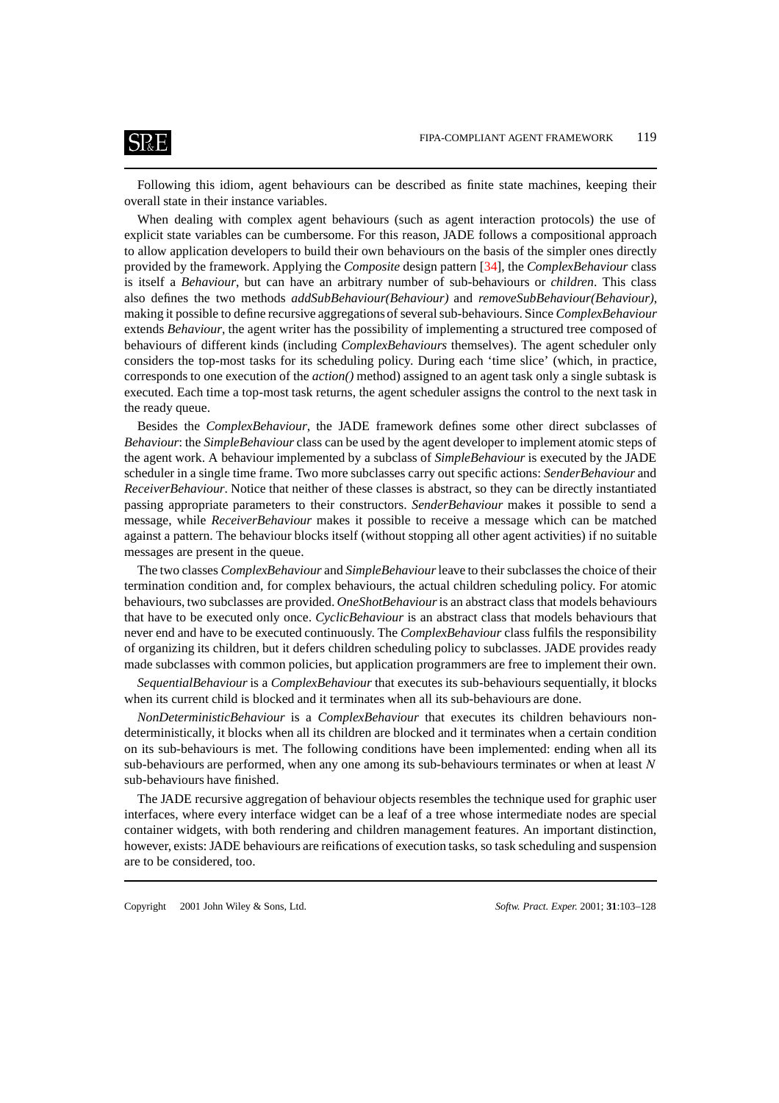

Following this idiom, agent behaviours can be described as finite state machines, keeping their overall state in their instance variables.

When dealing with complex agent behaviours (such as agent interaction protocols) the use of explicit state variables can be cumbersome. For this reason, JADE follows a compositional approach to allow application developers to build their own behaviours on the basis of the simpler ones directly provided by the framework. Applying the *Composite* design pattern [[34\]](#page-24-29), the *ComplexBehaviour* class is itself a *Behaviour*, but can have an arbitrary number of sub-behaviours or *children*. This class also defines the two methods *addSubBehaviour(Behaviour)* and *removeSubBehaviour(Behaviour)*, making it possible to define recursive aggregations of several sub-behaviours. Since *ComplexBehaviour* extends *Behaviour*, the agent writer has the possibility of implementing a structured tree composed of behaviours of different kinds (including *ComplexBehaviours* themselves). The agent scheduler only considers the top-most tasks for its scheduling policy. During each 'time slice' (which, in practice, corresponds to one execution of the *action()* method) assigned to an agent task only a single subtask is executed. Each time a top-most task returns, the agent scheduler assigns the control to the next task in the ready queue.

Besides the *ComplexBehaviour*, the JADE framework defines some other direct subclasses of *Behaviour*: the *SimpleBehaviour* class can be used by the agent developer to implement atomic steps of the agent work. A behaviour implemented by a subclass of *SimpleBehaviour* is executed by the JADE scheduler in a single time frame. Two more subclasses carry out specific actions: *SenderBehaviour* and *ReceiverBehaviour*. Notice that neither of these classes is abstract, so they can be directly instantiated passing appropriate parameters to their constructors. *SenderBehaviour* makes it possible to send a message, while *ReceiverBehaviour* makes it possible to receive a message which can be matched against a pattern. The behaviour blocks itself (without stopping all other agent activities) if no suitable messages are present in the queue.

The two classes *ComplexBehaviour* and *SimpleBehaviour*leave to their subclasses the choice of their termination condition and, for complex behaviours, the actual children scheduling policy. For atomic behaviours, two subclasses are provided. *OneShotBehaviour*is an abstract class that models behaviours that have to be executed only once. *CyclicBehaviour* is an abstract class that models behaviours that never end and have to be executed continuously. The *ComplexBehaviour* class fulfils the responsibility of organizing its children, but it defers children scheduling policy to subclasses. JADE provides ready made subclasses with common policies, but application programmers are free to implement their own.

*SequentialBehaviour* is a *ComplexBehaviour* that executes its sub-behaviours sequentially, it blocks when its current child is blocked and it terminates when all its sub-behaviours are done.

*NonDeterministicBehaviour* is a *ComplexBehaviour* that executes its children behaviours nondeterministically, it blocks when all its children are blocked and it terminates when a certain condition on its sub-behaviours is met. The following conditions have been implemented: ending when all its sub-behaviours are performed, when any one among its sub-behaviours terminates or when at least  $N$ sub-behaviours have finished.

The JADE recursive aggregation of behaviour objects resembles the technique used for graphic user interfaces, where every interface widget can be a leaf of a tree whose intermediate nodes are special container widgets, with both rendering and children management features. An important distinction, however, exists: JADE behaviours are reifications of execution tasks, so task scheduling and suspension are to be considered, too.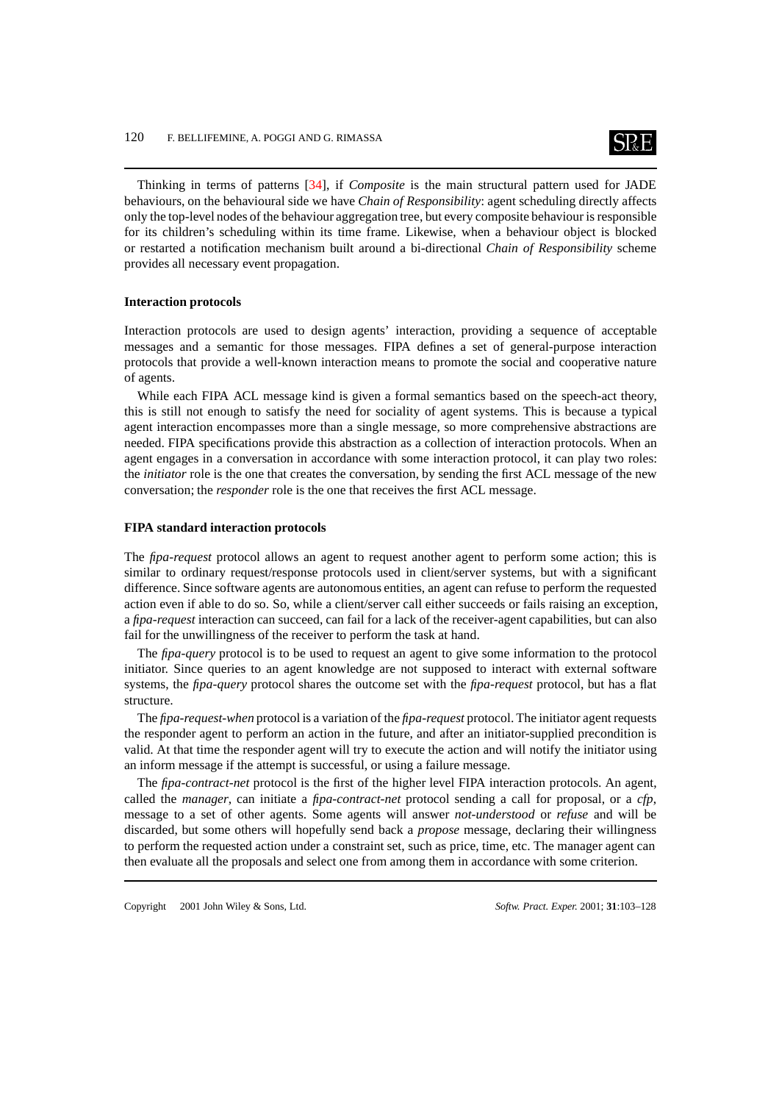

Thinking in terms of patterns [\[34](#page-24-29)], if *Composite* is the main structural pattern used for JADE behaviours, on the behavioural side we have *Chain of Responsibility*: agent scheduling directly affects only the top-level nodes of the behaviour aggregation tree, but every composite behaviour is responsible for its children's scheduling within its time frame. Likewise, when a behaviour object is blocked or restarted a notification mechanism built around a bi-directional *Chain of Responsibility* scheme provides all necessary event propagation.

#### **Interaction protocols**

Interaction protocols are used to design agents' interaction, providing a sequence of acceptable messages and a semantic for those messages. FIPA defines a set of general-purpose interaction protocols that provide a well-known interaction means to promote the social and cooperative nature of agents.

While each FIPA ACL message kind is given a formal semantics based on the speech-act theory, this is still not enough to satisfy the need for sociality of agent systems. This is because a typical agent interaction encompasses more than a single message, so more comprehensive abstractions are needed. FIPA specifications provide this abstraction as a collection of interaction protocols. When an agent engages in a conversation in accordance with some interaction protocol, it can play two roles: the *initiator* role is the one that creates the conversation, by sending the first ACL message of the new conversation; the *responder* role is the one that receives the first ACL message.

#### **FIPA standard interaction protocols**

The *fipa-request* protocol allows an agent to request another agent to perform some action; this is similar to ordinary request/response protocols used in client/server systems, but with a significant difference. Since software agents are autonomous entities, an agent can refuse to perform the requested action even if able to do so. So, while a client/server call either succeeds or fails raising an exception, a *fipa-request* interaction can succeed, can fail for a lack of the receiver-agent capabilities, but can also fail for the unwillingness of the receiver to perform the task at hand.

The *fipa-query* protocol is to be used to request an agent to give some information to the protocol initiator. Since queries to an agent knowledge are not supposed to interact with external software systems, the *fipa-query* protocol shares the outcome set with the *fipa-request* protocol, but has a flat structure.

The *fipa-request-when* protocol is a variation of the *fipa-request* protocol. The initiator agent requests the responder agent to perform an action in the future, and after an initiator-supplied precondition is valid. At that time the responder agent will try to execute the action and will notify the initiator using an inform message if the attempt is successful, or using a failure message.

The *fipa-contract-net* protocol is the first of the higher level FIPA interaction protocols. An agent, called the *manager*, can initiate a *fipa-contract-net* protocol sending a call for proposal, or a *cfp*, message to a set of other agents. Some agents will answer *not-understood* or *refuse* and will be discarded, but some others will hopefully send back a *propose* message, declaring their willingness to perform the requested action under a constraint set, such as price, time, etc. The manager agent can then evaluate all the proposals and select one from among them in accordance with some criterion.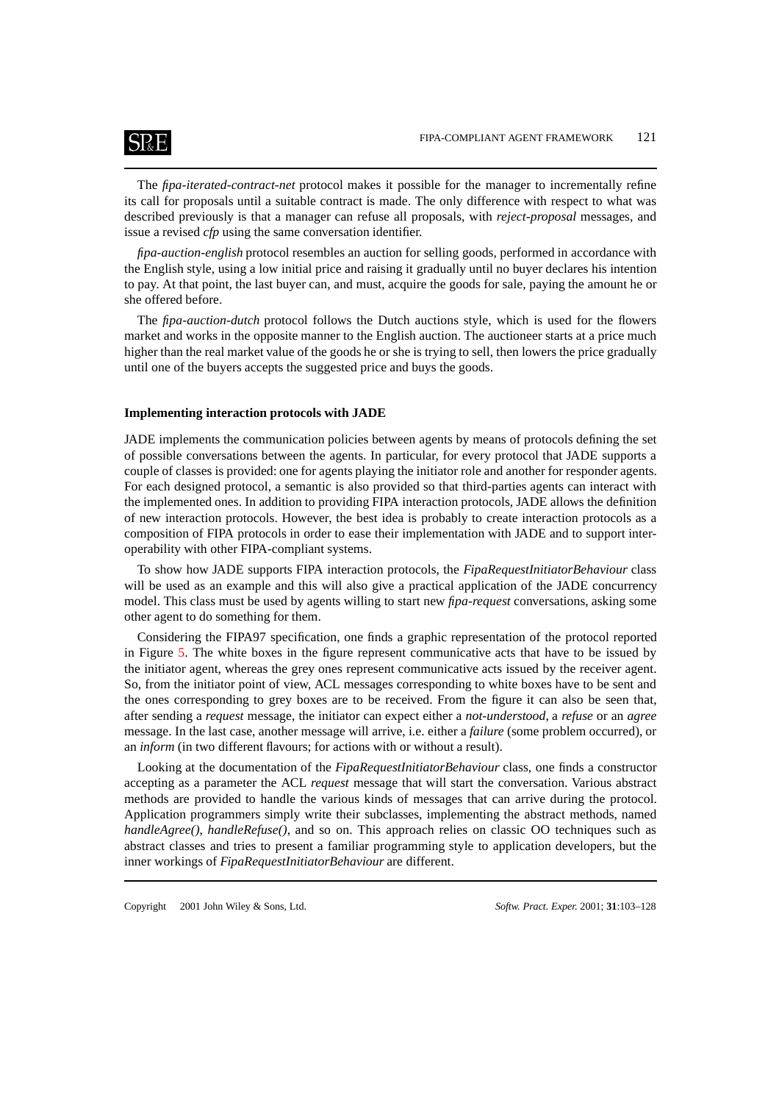# $SRE$

The *fipa-iterated-contract-net* protocol makes it possible for the manager to incrementally refine its call for proposals until a suitable contract is made. The only difference with respect to what was described previously is that a manager can refuse all proposals, with *reject-proposal* messages, and issue a revised *cfp* using the same conversation identifier.

*fipa-auction-english* protocol resembles an auction for selling goods, performed in accordance with the English style, using a low initial price and raising it gradually until no buyer declares his intention to pay. At that point, the last buyer can, and must, acquire the goods for sale, paying the amount he or she offered before.

The *fipa-auction-dutch* protocol follows the Dutch auctions style, which is used for the flowers market and works in the opposite manner to the English auction. The auctioneer starts at a price much higher than the real market value of the goods he or she is trying to sell, then lowers the price gradually until one of the buyers accepts the suggested price and buys the goods.

### **Implementing interaction protocols with JADE**

JADE implements the communication policies between agents by means of protocols defining the set of possible conversations between the agents. In particular, for every protocol that JADE supports a couple of classes is provided: one for agents playing the initiator role and another for responder agents. For each designed protocol, a semantic is also provided so that third-parties agents can interact with the implemented ones. In addition to providing FIPA interaction protocols, JADE allows the definition of new interaction protocols. However, the best idea is probably to create interaction protocols as a composition of FIPA protocols in order to ease their implementation with JADE and to support interoperability with other FIPA-compliant systems.

To show how JADE supports FIPA interaction protocols, the *FipaRequestInitiatorBehaviour* class will be used as an example and this will also give a practical application of the JADE concurrency model. This class must be used by agents willing to start new *fipa-request* conversations, asking some other agent to do something for them.

Considering the FIPA97 specification, one finds a graphic representation of the protocol reported in Figure [5](#page-19-0). The white boxes in the figure represent communicative acts that have to be issued by the initiator agent, whereas the grey ones represent communicative acts issued by the receiver agent. So, from the initiator point of view, ACL messages corresponding to white boxes have to be sent and the ones corresponding to grey boxes are to be received. From the figure it can also be seen that, after sending a *request* message, the initiator can expect either a *not-understood*, a *refuse* or an *agree* message. In the last case, another message will arrive, i.e. either a *failure* (some problem occurred), or an *inform* (in two different flavours; for actions with or without a result).

Looking at the documentation of the *FipaRequestInitiatorBehaviour* class, one finds a constructor accepting as a parameter the ACL *request* message that will start the conversation. Various abstract methods are provided to handle the various kinds of messages that can arrive during the protocol. Application programmers simply write their subclasses, implementing the abstract methods, named *handleAgree(), handleRefuse(), and so on. This approach relies on classic OO techniques such as* abstract classes and tries to present a familiar programming style to application developers, but the inner workings of *FipaRequestInitiatorBehaviour* are different.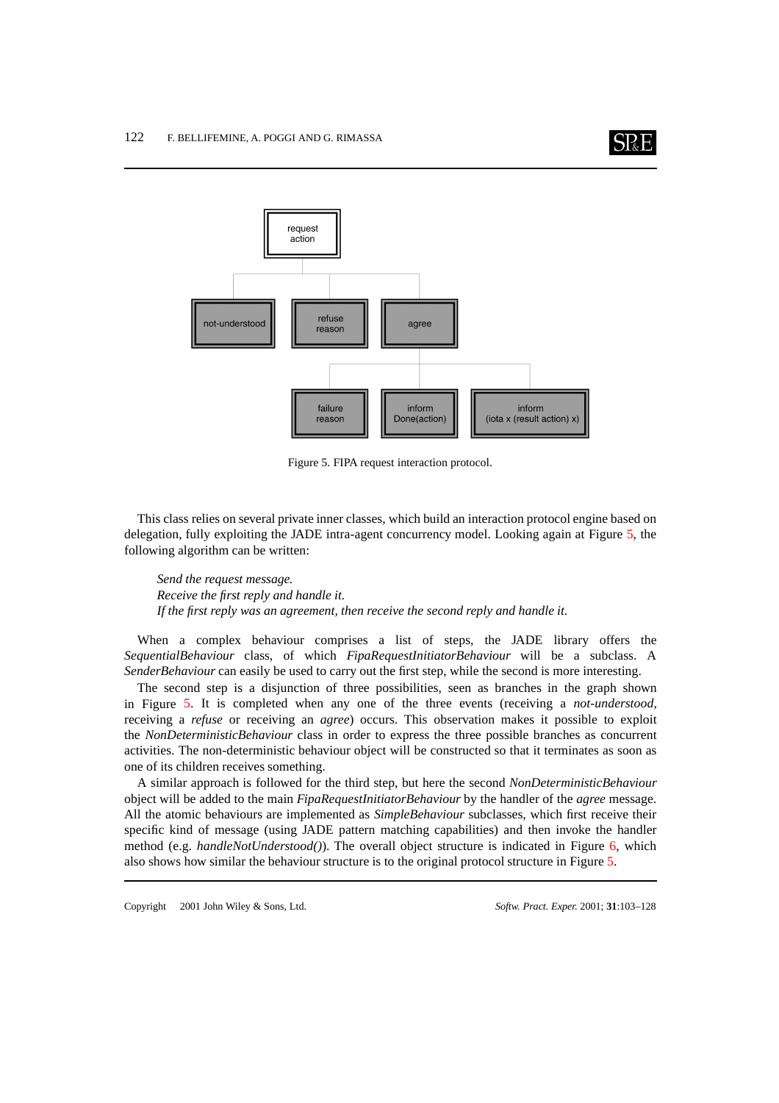<span id="page-19-0"></span>

Figure 5. FIPA request interaction protocol.

This class relies on several private inner classes, which build an interaction protocol engine based on delegation, fully exploiting the JADE intra-agent concurrency model. Looking again at Figure [5,](#page-19-0) the following algorithm can be written:

*Send the request message. Receive the first reply and handle it. If the first reply was an agreement, then receive the second reply and handle it.*

When a complex behaviour comprises a list of steps, the JADE library offers the *SequentialBehaviour* class, of which *FipaRequestInitiatorBehaviour* will be a subclass. A *SenderBehaviour* can easily be used to carry out the first step, while the second is more interesting.

The second step is a disjunction of three possibilities, seen as branches in the graph shown in Figure [5.](#page-19-0) It is completed when any one of the three events (receiving a *not-understood*, receiving a *refuse* or receiving an *agree*) occurs. This observation makes it possible to exploit the *NonDeterministicBehaviour* class in order to express the three possible branches as concurrent activities. The non-deterministic behaviour object will be constructed so that it terminates as soon as one of its children receives something.

A similar approach is followed for the third step, but here the second *NonDeterministicBehaviour* object will be added to the main *FipaRequestInitiatorBehaviour* by the handler of the *agree* message. All the atomic behaviours are implemented as *SimpleBehaviour* subclasses, which first receive their specific kind of message (using JADE pattern matching capabilities) and then invoke the handler method (e.g. *handleNotUnderstood()*). The overall object structure is indicated in Figure [6,](#page-20-0) which also shows how similar the behaviour structure is to the original protocol structure in Figure [5.](#page-19-0)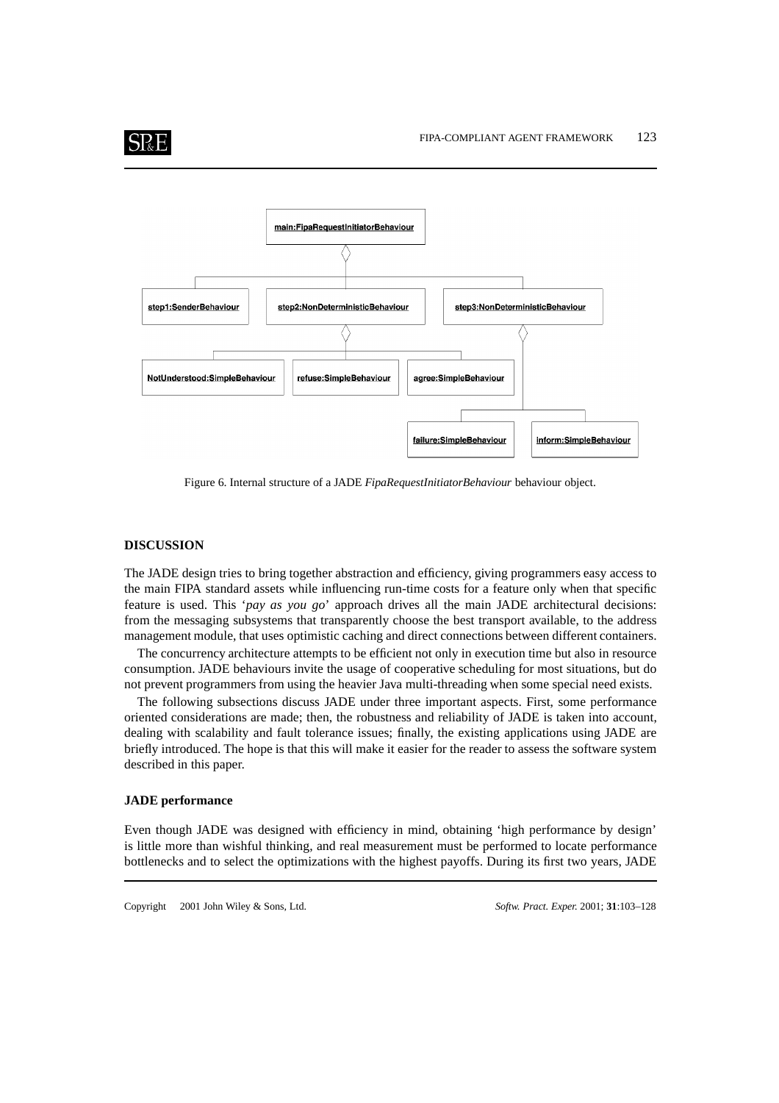<span id="page-20-0"></span>

Figure 6. Internal structure of a JADE *FipaRequestInitiatorBehaviour* behaviour object.

# **DISCUSSION**

The JADE design tries to bring together abstraction and efficiency, giving programmers easy access to the main FIPA standard assets while influencing run-time costs for a feature only when that specific feature is used. This '*pay as you go*' approach drives all the main JADE architectural decisions: from the messaging subsystems that transparently choose the best transport available, to the address management module, that uses optimistic caching and direct connections between different containers.

The concurrency architecture attempts to be efficient not only in execution time but also in resource consumption. JADE behaviours invite the usage of cooperative scheduling for most situations, but do not prevent programmers from using the heavier Java multi-threading when some special need exists.

The following subsections discuss JADE under three important aspects. First, some performance oriented considerations are made; then, the robustness and reliability of JADE is taken into account, dealing with scalability and fault tolerance issues; finally, the existing applications using JADE are briefly introduced. The hope is that this will make it easier for the reader to assess the software system described in this paper.

# **JADE performance**

Even though JADE was designed with efficiency in mind, obtaining 'high performance by design' is little more than wishful thinking, and real measurement must be performed to locate performance bottlenecks and to select the optimizations with the highest payoffs. During its first two years, JADE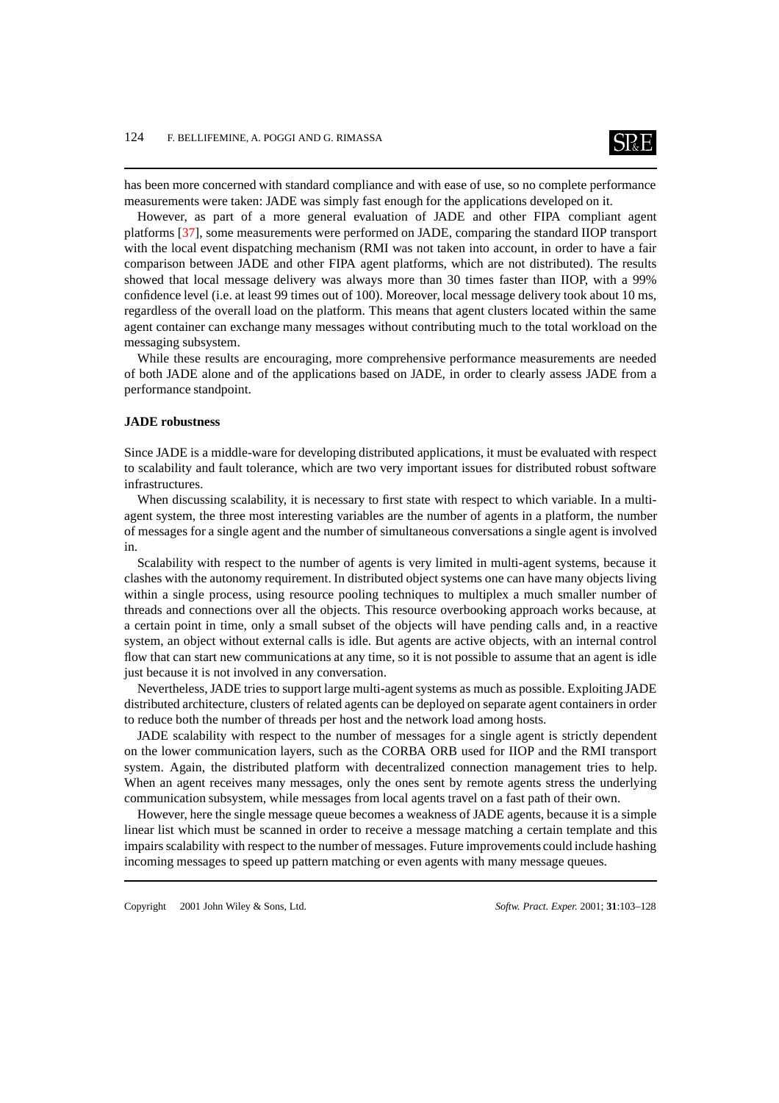has been more concerned with standard compliance and with ease of use, so no complete performance measurements were taken: JADE was simply fast enough for the applications developed on it.

However, as part of a more general evaluation of JADE and other FIPA compliant agent platforms [\[37\]](#page-24-32), some measurements were performed on JADE, comparing the standard IIOP transport with the local event dispatching mechanism (RMI was not taken into account, in order to have a fair comparison between JADE and other FIPA agent platforms, which are not distributed). The results showed that local message delivery was always more than 30 times faster than IIOP, with a 99% confidence level (i.e. at least 99 times out of 100). Moreover, local message delivery took about 10 ms, regardless of the overall load on the platform. This means that agent clusters located within the same agent container can exchange many messages without contributing much to the total workload on the messaging subsystem.

While these results are encouraging, more comprehensive performance measurements are needed of both JADE alone and of the applications based on JADE, in order to clearly assess JADE from a performance standpoint.

### **JADE robustness**

Since JADE is a middle-ware for developing distributed applications, it must be evaluated with respect to scalability and fault tolerance, which are two very important issues for distributed robust software infrastructures.

When discussing scalability, it is necessary to first state with respect to which variable. In a multiagent system, the three most interesting variables are the number of agents in a platform, the number of messages for a single agent and the number of simultaneous conversations a single agent is involved in.

Scalability with respect to the number of agents is very limited in multi-agent systems, because it clashes with the autonomy requirement. In distributed object systems one can have many objects living within a single process, using resource pooling techniques to multiplex a much smaller number of threads and connections over all the objects. This resource overbooking approach works because, at a certain point in time, only a small subset of the objects will have pending calls and, in a reactive system, an object without external calls is idle. But agents are active objects, with an internal control flow that can start new communications at any time, so it is not possible to assume that an agent is idle just because it is not involved in any conversation.

Nevertheless, JADE tries to support large multi-agent systems as much as possible. Exploiting JADE distributed architecture, clusters of related agents can be deployed on separate agent containers in order to reduce both the number of threads per host and the network load among hosts.

JADE scalability with respect to the number of messages for a single agent is strictly dependent on the lower communication layers, such as the CORBA ORB used for IIOP and the RMI transport system. Again, the distributed platform with decentralized connection management tries to help. When an agent receives many messages, only the ones sent by remote agents stress the underlying communication subsystem, while messages from local agents travel on a fast path of their own.

However, here the single message queue becomes a weakness of JADE agents, because it is a simple linear list which must be scanned in order to receive a message matching a certain template and this impairs scalability with respect to the number of messages. Future improvements could include hashing incoming messages to speed up pattern matching or even agents with many message queues.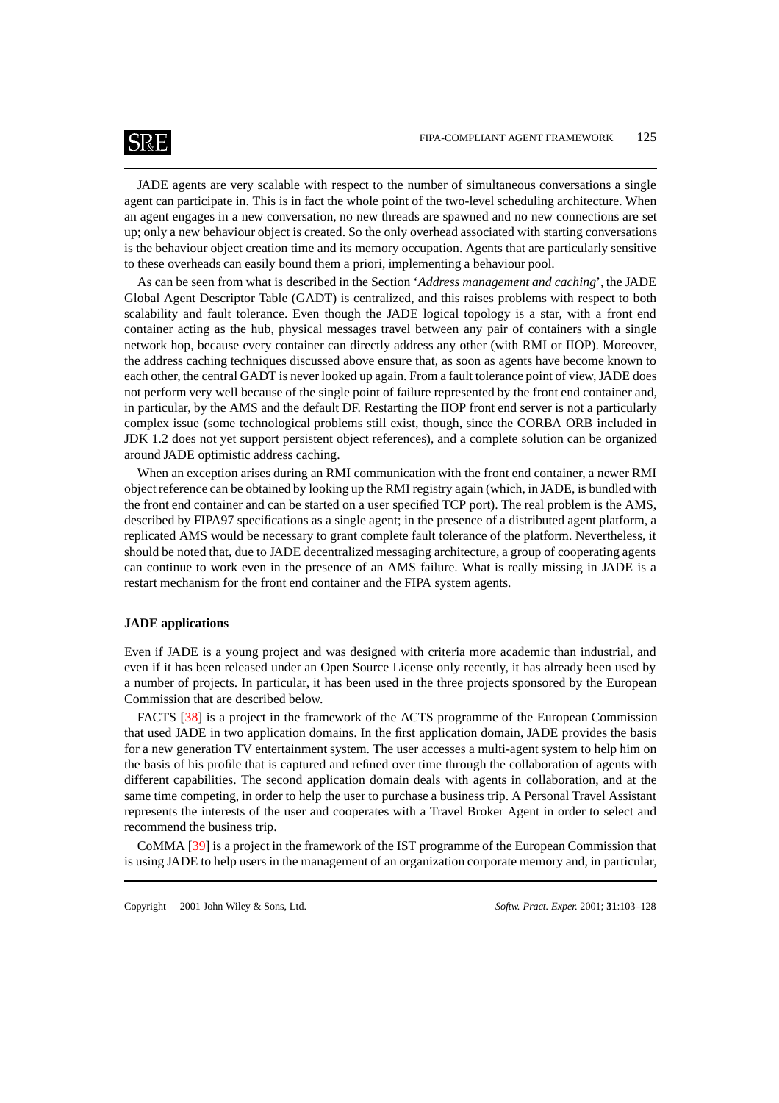JADE agents are very scalable with respect to the number of simultaneous conversations a single agent can participate in. This is in fact the whole point of the two-level scheduling architecture. When an agent engages in a new conversation, no new threads are spawned and no new connections are set up; only a new behaviour object is created. So the only overhead associated with starting conversations is the behaviour object creation time and its memory occupation. Agents that are particularly sensitive to these overheads can easily bound them a priori, implementing a behaviour pool.

As can be seen from what is described in the Section '*Address management and caching*', the JADE Global Agent Descriptor Table (GADT) is centralized, and this raises problems with respect to both scalability and fault tolerance. Even though the JADE logical topology is a star, with a front end container acting as the hub, physical messages travel between any pair of containers with a single network hop, because every container can directly address any other (with RMI or IIOP). Moreover, the address caching techniques discussed above ensure that, as soon as agents have become known to each other, the central GADT is never looked up again. From a fault tolerance point of view, JADE does not perform very well because of the single point of failure represented by the front end container and, in particular, by the AMS and the default DF. Restarting the IIOP front end server is not a particularly complex issue (some technological problems still exist, though, since the CORBA ORB included in JDK 1.2 does not yet support persistent object references), and a complete solution can be organized around JADE optimistic address caching.

When an exception arises during an RMI communication with the front end container, a newer RMI object reference can be obtained by looking up the RMI registry again (which, in JADE, is bundled with the front end container and can be started on a user specified TCP port). The real problem is the AMS, described by FIPA97 specifications as a single agent; in the presence of a distributed agent platform, a replicated AMS would be necessary to grant complete fault tolerance of the platform. Nevertheless, it should be noted that, due to JADE decentralized messaging architecture, a group of cooperating agents can continue to work even in the presence of an AMS failure. What is really missing in JADE is a restart mechanism for the front end container and the FIPA system agents.

# **JADE applications**

Even if JADE is a young project and was designed with criteria more academic than industrial, and even if it has been released under an Open Source License only recently, it has already been used by a number of projects. In particular, it has been used in the three projects sponsored by the European Commission that are described below.

FACTS [\[38](#page-25-0)] is a project in the framework of the ACTS programme of the European Commission that used JADE in two application domains. In the first application domain, JADE provides the basis for a new generation TV entertainment system. The user accesses a multi-agent system to help him on the basis of his profile that is captured and refined over time through the collaboration of agents with different capabilities. The second application domain deals with agents in collaboration, and at the same time competing, in order to help the user to purchase a business trip. A Personal Travel Assistant represents the interests of the user and cooperates with a Travel Broker Agent in order to select and recommend the business trip.

CoMMA [[39\]](#page-25-1) is a project in the framework of the IST programme of the European Commission that is using JADE to help users in the management of an organization corporate memory and, in particular,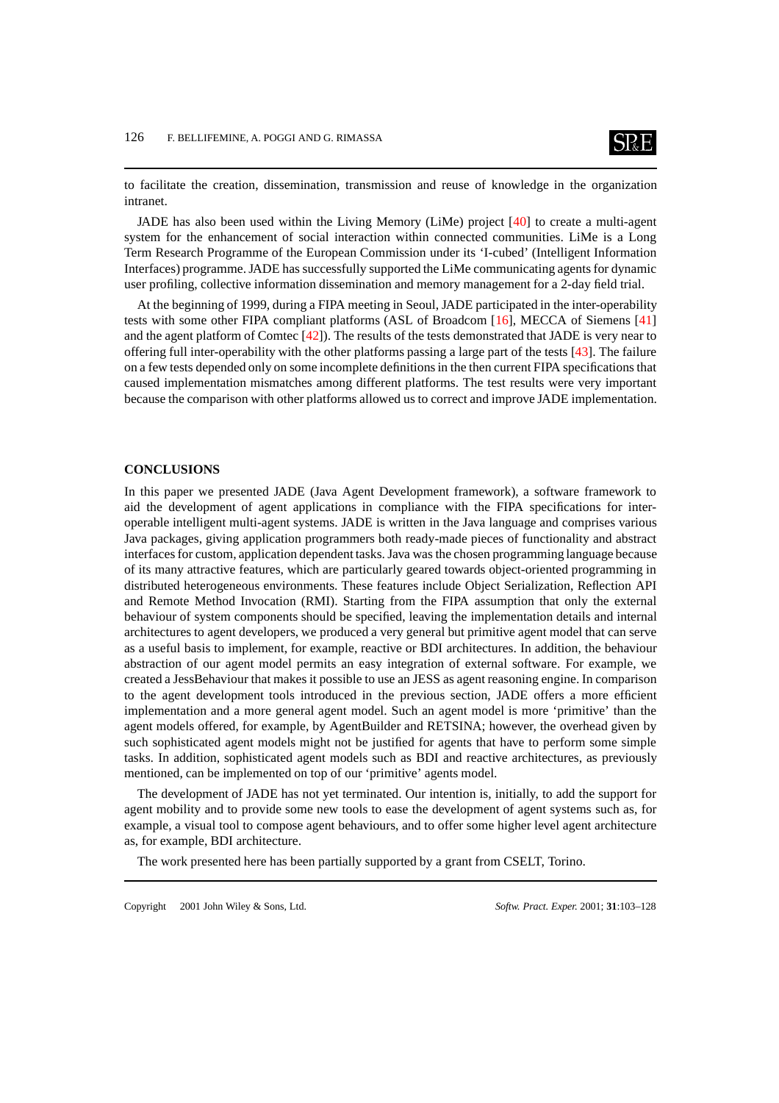

to facilitate the creation, dissemination, transmission and reuse of knowledge in the organization intranet.

JADE has also been used within the Living Memory (LiMe) project [[40](#page-25-5)] to create a multi-agent system for the enhancement of social interaction within connected communities. LiMe is a Long Term Research Programme of the European Commission under its 'I-cubed' (Intelligent Information Interfaces) programme. JADE has successfully supported the LiMe communicating agents for dynamic user profiling, collective information dissemination and memory management for a 2-day field trial.

At the beginning of 1999, during a FIPA meeting in Seoul, JADE participated in the inter-operability tests with some other FIPA compliant platforms (ASL of Broadcom [\[16\]](#page-24-14), MECCA of Siemens [\[41](#page-25-3)] and the agent platform of Comtec [[42\]](#page-25-2)). The results of the tests demonstrated that JADE is very near to offering full inter-operability with the other platforms passing a large part of the tests [\[43](#page-25-4)]. The failure on a few tests depended only on some incomplete definitions in the then current FIPA specifications that caused implementation mismatches among different platforms. The test results were very important because the comparison with other platforms allowed us to correct and improve JADE implementation.

#### **CONCLUSIONS**

In this paper we presented JADE (Java Agent Development framework), a software framework to aid the development of agent applications in compliance with the FIPA specifications for interoperable intelligent multi-agent systems. JADE is written in the Java language and comprises various Java packages, giving application programmers both ready-made pieces of functionality and abstract interfaces for custom, application dependent tasks. Java was the chosen programming language because of its many attractive features, which are particularly geared towards object-oriented programming in distributed heterogeneous environments. These features include Object Serialization, Reflection API and Remote Method Invocation (RMI). Starting from the FIPA assumption that only the external behaviour of system components should be specified, leaving the implementation details and internal architectures to agent developers, we produced a very general but primitive agent model that can serve as a useful basis to implement, for example, reactive or BDI architectures. In addition, the behaviour abstraction of our agent model permits an easy integration of external software. For example, we created a JessBehaviour that makes it possible to use an JESS as agent reasoning engine. In comparison to the agent development tools introduced in the previous section, JADE offers a more efficient implementation and a more general agent model. Such an agent model is more 'primitive' than the agent models offered, for example, by AgentBuilder and RETSINA; however, the overhead given by such sophisticated agent models might not be justified for agents that have to perform some simple tasks. In addition, sophisticated agent models such as BDI and reactive architectures, as previously mentioned, can be implemented on top of our 'primitive' agents model.

The development of JADE has not yet terminated. Our intention is, initially, to add the support for agent mobility and to provide some new tools to ease the development of agent systems such as, for example, a visual tool to compose agent behaviours, and to offer some higher level agent architecture as, for example, BDI architecture.

The work presented here has been partially supported by a grant from CSELT, Torino.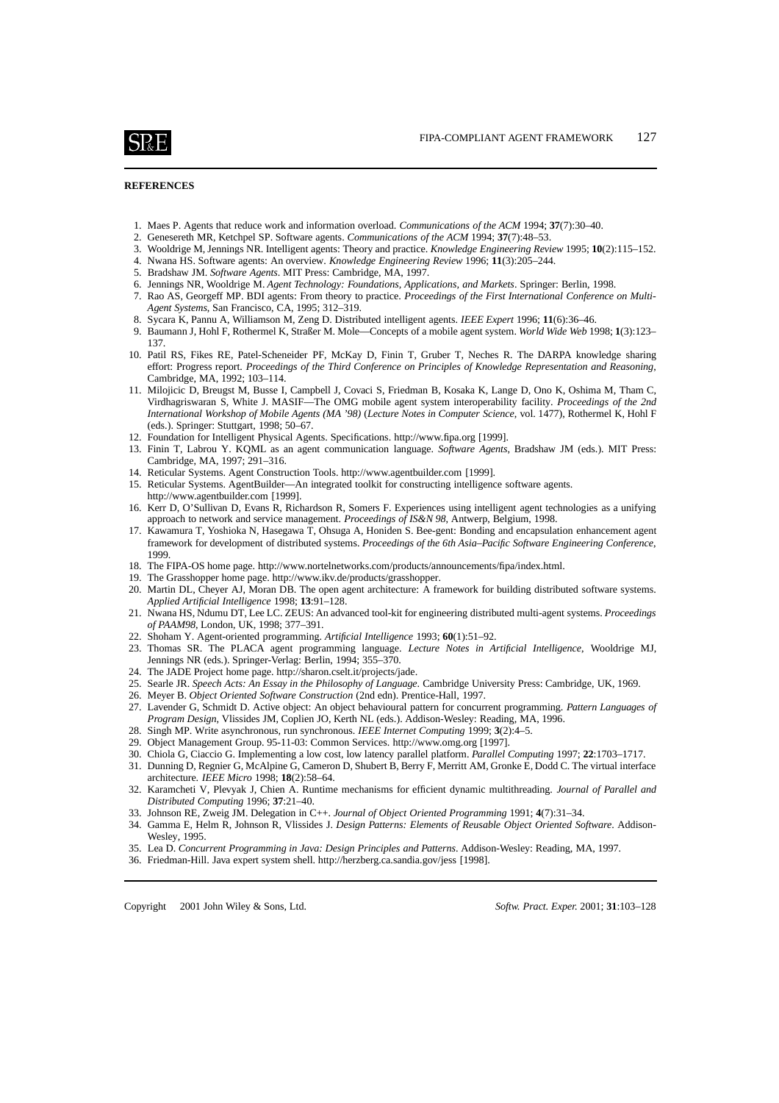

#### **REFERENCES**

- <span id="page-24-2"></span>1. Maes P. Agents that reduce work and information overload. *Communications of the ACM* 1994; **37**(7):30–40.
- <span id="page-24-18"></span>2. Genesereth MR, Ketchpel SP. Software agents. *Communications of the ACM* 1994; **37**(7):48–53.
- <span id="page-24-17"></span>3. Wooldrige M, Jennings NR. Intelligent agents: Theory and practice. *Knowledge Engineering Review* 1995; **10**(2):115–152.
- 4. Nwana HS. Software agents: An overview. *Knowledge Engineering Review* 1996; **11**(3):205–244.
- 5. Bradshaw JM. *Software Agents*. MIT Press: Cambridge, MA, 1997.
- 6. Jennings NR, Wooldrige M. *Agent Technology: Foundations, Applications, and Markets*. Springer: Berlin, 1998.
- <span id="page-24-6"></span>7. Rao AS, Georgeff MP. BDI agents: From theory to practice. *Proceedings of the First International Conference on Multi-Agent Systems*, San Francisco, CA, 1995; 312–319.
- <span id="page-24-5"></span>8. Sycara K, Pannu A, Williamson M, Zeng D. Distributed intelligent agents. *IEEE Expert* 1996; **11**(6):36–46.
- <span id="page-24-3"></span>9. Baumann J, Hohl F, Rothermel K, Straßer M. Mole—Concepts of a mobile agent system. *World Wide Web* 1998; **1**(3):123– 137.
- <span id="page-24-1"></span>10. Patil RS, Fikes RE, Patel-Scheneider PF, McKay D, Finin T, Gruber T, Neches R. The DARPA knowledge sharing effort: Progress report. *Proceedings of the Third Conference on Principles of Knowledge Representation and Reasoning*, Cambridge, MA, 1992; 103–114.
- <span id="page-24-4"></span>11. Milojicic D, Breugst M, Busse I, Campbell J, Covaci S, Friedman B, Kosaka K, Lange D, Ono K, Oshima M, Tham C, Virdhagriswaran S, White J. MASIF—The OMG mobile agent system interoperability facility. *Proceedings of the 2nd International Workshop of Mobile Agents (MA '98)* (*Lecture Notes in Computer Science*, vol. 1477), Rothermel K, Hohl F (eds.). Springer: Stuttgart, 1998; 50–67.
- <span id="page-24-0"></span>12. Foundation for Intelligent Physical Agents. Specifications. http://www.fipa.org [1999].
- <span id="page-24-7"></span>13. Finin T, Labrou Y. KQML as an agent communication language. *Software Agents*, Bradshaw JM (eds.). MIT Press: Cambridge, MA, 1997; 291–316.
- <span id="page-24-16"></span>14. Reticular Systems. Agent Construction Tools. http://www.agentbuilder.com [1999].
- <span id="page-24-8"></span>15. Reticular Systems. AgentBuilder—An integrated toolkit for constructing intelligence software agents. http://www.agentbuilder.com [1999].
- <span id="page-24-14"></span>16. Kerr D, O'Sullivan D, Evans R, Richardson R, Somers F. Experiences using intelligent agent technologies as a unifying approach to network and service management. *Proceedings of IS&N 98*, Antwerp, Belgium, 1998.
- <span id="page-24-12"></span>17. Kawamura T, Yoshioka N, Hasegawa T, Ohsuga A, Honiden S. Bee-gent: Bonding and encapsulation enhancement agent framework for development of distributed systems. *Proceedings of the 6th Asia–Pacific Software Engineering Conference*, 1999.
- <span id="page-24-15"></span><span id="page-24-13"></span>18. The FIPA-OS home page. http://www.nortelnetworks.com/products/announcements/fipa/index.html.
- 19. The Grasshopper home page. http://www.ikv.de/products/grasshopper.
- <span id="page-24-10"></span>20. Martin DL, Cheyer AJ, Moran DB. The open agent architecture: A framework for building distributed software systems. *Applied Artificial Intelligence* 1998; **13**:91–128.
- <span id="page-24-20"></span>21. Nwana HS, Ndumu DT, Lee LC. ZEUS: An advanced tool-kit for engineering distributed multi-agent systems. *Proceedings of PAAM98*, London, UK, 1998; 377–391.
- <span id="page-24-9"></span>22. Shoham Y. Agent-oriented programming. *Artificial Intelligence* 1993; **60**(1):51–92.
- <span id="page-24-11"></span>23. Thomas SR. The PLACA agent programming language. *Lecture Notes in Artificial Intelligence*, Wooldrige MJ, Jennings NR (eds.). Springer-Verlag: Berlin, 1994; 355–370.
- <span id="page-24-19"></span>24. The JADE Project home page. http://sharon.cselt.it/projects/jade.
- <span id="page-24-22"></span>25. Searle JR. *Speech Acts: An Essay in the Philosophy of Language*. Cambridge University Press: Cambridge, UK, 1969.
- <span id="page-24-24"></span>26. Meyer B. *Object Oriented Software Construction* (2nd edn). Prentice-Hall, 1997.
- <span id="page-24-23"></span>27. Lavender G, Schmidt D. Active object: An object behavioural pattern for concurrent programming. *Pattern Languages of Program Design*, Vlissides JM, Coplien JO, Kerth NL (eds.). Addison-Wesley: Reading, MA, 1996.
- <span id="page-24-21"></span>28. Singh MP. Write asynchronous, run synchronous. *IEEE Internet Computing* 1999; **3**(2):4–5.
- <span id="page-24-25"></span>29. Object Management Group. 95-11-03: Common Services. http://www.omg.org [1997].
- <span id="page-24-27"></span><span id="page-24-26"></span>30. Chiola G, Ciaccio G. Implementing a low cost, low latency parallel platform. *Parallel Computing* 1997; **22**:1703–1717. 31. Dunning D, Regnier G, McAlpine G, Cameron D, Shubert B, Berry F, Merritt AM, Gronke E, Dodd C. The virtual interface architecture. *IEEE Micro* 1998; **18**(2):58–64.
- <span id="page-24-28"></span>32. Karamcheti V, Plevyak J, Chien A. Runtime mechanisms for efficient dynamic multithreading. *Journal of Parallel and Distributed Computing* 1996; **37**:21–40.
- 33. Johnson RE, Zweig JM. Delegation in C++. *Journal of Object Oriented Programming* 1991; **4**(7):31–34.
- <span id="page-24-29"></span>34. Gamma E, Helm R, Johnson R, Vlissides J. *Design Patterns: Elements of Reusable Object Oriented Software*. Addison-Wesley, 1995.
- <span id="page-24-30"></span>35. Lea D. *Concurrent Programming in Java: Design Principles and Patterns*. Addison-Wesley: Reading, MA, 1997.
- <span id="page-24-32"></span><span id="page-24-31"></span>36. Friedman-Hill. Java expert system shell. http://herzberg.ca.sandia.gov/jess [1998].